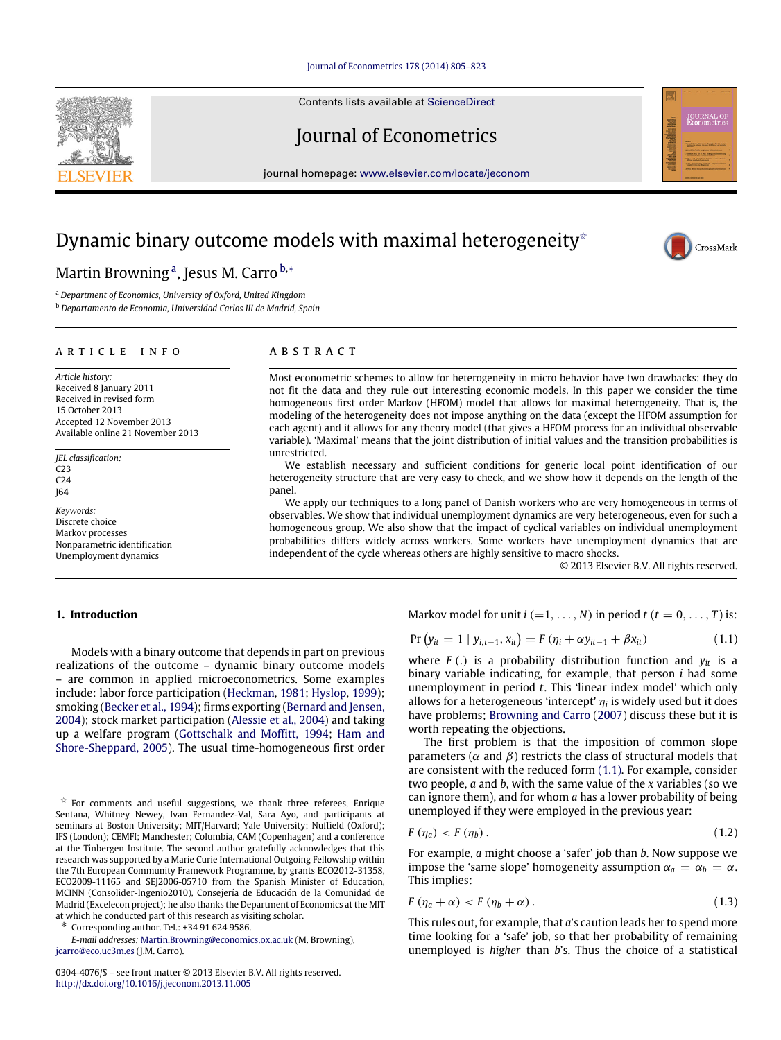## [Journal of Econometrics 178 \(2014\) 805–823](http://dx.doi.org/10.1016/j.jeconom.2013.11.005)

Contents lists available at [ScienceDirect](http://www.elsevier.com/locate/jeconom)

Journal of Econometrics

journal homepage: [www.elsevier.com/locate/jeconom](http://www.elsevier.com/locate/jeconom)

# Dynamic binary outcome models with maximal heterogeneity<sup> $\star$ </sup>

## M[a](#page-0-1)rtin Browning<sup>a</sup>, Jesus M. Carro<sup>[b,](#page-0-2)</sup>\*

<span id="page-0-1"></span><sup>a</sup> *Department of Economics, University of Oxford, United Kingdom*

<span id="page-0-2"></span><sup>b</sup> *Departamento de Economia, Universidad Carlos III de Madrid, Spain*

#### ARTICLE INFO

*Article history:* Received 8 January 2011 Received in revised form 15 October 2013 Accepted 12 November 2013 Available online 21 November 2013

*JEL classification:* C23 C24 J64

*Keywords:* Discrete choice Markov processes Nonparametric identification Unemployment dynamics

## A B S T R A C T

Most econometric schemes to allow for heterogeneity in micro behavior have two drawbacks: they do not fit the data and they rule out interesting economic models. In this paper we consider the time homogeneous first order Markov (HFOM) model that allows for maximal heterogeneity. That is, the modeling of the heterogeneity does not impose anything on the data (except the HFOM assumption for each agent) and it allows for any theory model (that gives a HFOM process for an individual observable variable). 'Maximal' means that the joint distribution of initial values and the transition probabilities is unrestricted.

We establish necessary and sufficient conditions for generic local point identification of our heterogeneity structure that are very easy to check, and we show how it depends on the length of the panel.

We apply our techniques to a long panel of Danish workers who are very homogeneous in terms of observables. We show that individual unemployment dynamics are very heterogeneous, even for such a homogeneous group. We also show that the impact of cyclical variables on individual unemployment probabilities differs widely across workers. Some workers have unemployment dynamics that are independent of the cycle whereas others are highly sensitive to macro shocks.

© 2013 Elsevier B.V. All rights reserved.

## <span id="page-0-5"></span>**1. Introduction**

Models with a binary outcome that depends in part on previous realizations of the outcome – dynamic binary outcome models – are common in applied microeconometrics. Some examples include: labor force participation [\(Heckman,](#page-18-0) [1981;](#page-18-0) [Hyslop,](#page-18-1) [1999\)](#page-18-1); smoking [\(Becker](#page-18-2) [et al.,](#page-18-2) [1994\)](#page-18-2); firms exporting [\(Bernard](#page-18-3) [and](#page-18-3) [Jensen,](#page-18-3) [2004\)](#page-18-3); stock market participation [\(Alessie](#page-18-4) [et al.,](#page-18-4) [2004\)](#page-18-4) and taking up a welfare program [\(Gottschalk](#page-18-5) [and](#page-18-5) [Moffitt,](#page-18-5) [1994;](#page-18-5) [Ham](#page-18-6) [and](#page-18-6) [Shore-Sheppard,](#page-18-6) [2005\)](#page-18-6). The usual time-homogeneous first order

<span id="page-0-3"></span>∗ Corresponding author. Tel.: +34 91 624 9586.

*E-mail addresses:* [Martin.Browning@economics.ox.ac.uk](mailto:Martin.Browning@economics.ox.ac.uk) (M. Browning), [jcarro@eco.uc3m.es](mailto:jcarro@eco.uc3m.es) (J.M. Carro).

Markov model for unit  $i (=1, \ldots, N)$  in period  $t (t = 0, \ldots, T)$  is:

<span id="page-0-4"></span>
$$
Pr (y_{it} = 1 | y_{i,t-1}, x_{it}) = F (\eta_i + \alpha y_{it-1} + \beta x_{it})
$$
\n(1.1)

where  $F(.)$  is a probability distribution function and  $y_{it}$  is a binary variable indicating, for example, that person *i* had some unemployment in period *t*. This 'linear index model' which only allows for a heterogeneous 'intercept'  $\eta_i$  is widely used but it does have problems; [Browning](#page-18-7) [and](#page-18-7) [Carro](#page-18-7) [\(2007\)](#page-18-7) discuss these but it is worth repeating the objections.

The first problem is that the imposition of common slope parameters ( $\alpha$  and  $\beta$ ) restricts the class of structural models that are consistent with the reduced form [\(1.1\).](#page-0-4) For example, consider two people, *a* and *b*, with the same value of the *x* variables (so we can ignore them), and for whom *a* has a lower probability of being unemployed if they were employed in the previous year:

$$
F(\eta_a) < F(\eta_b). \tag{1.2}
$$

For example, *a* might choose a 'safer' job than *b*. Now suppose we impose the 'same slope' homogeneity assumption  $\alpha_a = \alpha_b = \alpha$ . This implies:

$$
F(\eta_a + \alpha) < F(\eta_b + \alpha) \tag{1.3}
$$

This rules out, for example, that *a*'s caution leads her to spend more time looking for a 'safe' job, so that her probability of remaining unemployed is *higher* than *b*'s. Thus the choice of a statistical





<span id="page-0-0"></span> $\overrightarrow{x}$  For comments and useful suggestions, we thank three referees, Enrique Sentana, Whitney Newey, Ivan Fernandez-Val, Sara Ayo, and participants at seminars at Boston University; MIT/Harvard; Yale University; Nuffield (Oxford); IFS (London); CEMFI; Manchester; Columbia, CAM (Copenhagen) and a conference at the Tinbergen Institute. The second author gratefully acknowledges that this research was supported by a Marie Curie International Outgoing Fellowship within the 7th European Community Framework Programme, by grants ECO2012-31358, ECO2009-11165 and SEI2006-05710 from the Spanish Minister of Education. MCINN (Consolider-Ingenio2010), Consejería de Educación de la Comunidad de Madrid (Excelecon project); he also thanks the Department of Economics at the MIT at which he conducted part of this research as visiting scholar.

<sup>0304-4076/\$ –</sup> see front matter © 2013 Elsevier B.V. All rights reserved. <http://dx.doi.org/10.1016/j.jeconom.2013.11.005>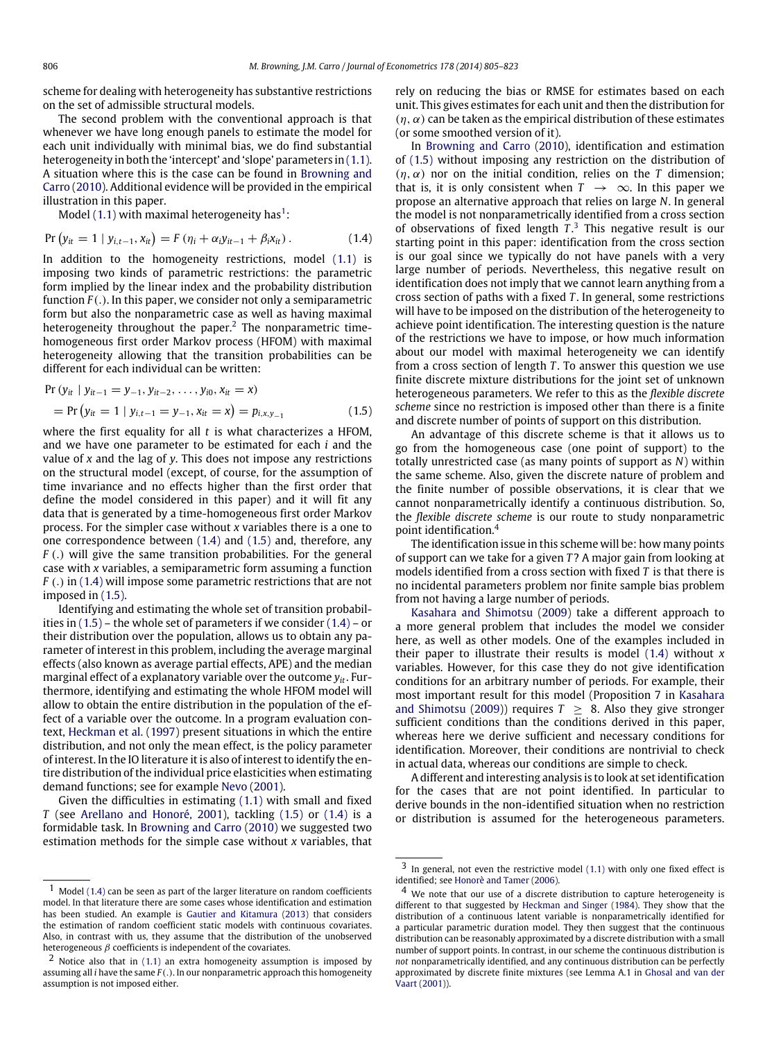scheme for dealing with heterogeneity has substantive restrictions on the set of admissible structural models.

The second problem with the conventional approach is that whenever we have long enough panels to estimate the model for each unit individually with minimal bias, we do find substantial heterogeneity in both the 'intercept' and 'slope' parameters in [\(1.1\).](#page-0-4) A situation where this is the case can be found in [Browning](#page-18-8) [and](#page-18-8) [Carro](#page-18-8) [\(2010\)](#page-18-8). Additional evidence will be provided in the empirical illustration in this paper.

Model  $(1.1)$  with maximal heterogeneity has<sup>[1](#page-1-0)</sup>:

$$
Pr (y_{it} = 1 | y_{i,t-1}, x_{it}) = F (\eta_i + \alpha_i y_{it-1} + \beta_i x_{it}).
$$
 (1.4)

In addition to the homogeneity restrictions, model [\(1.1\)](#page-0-4) is imposing two kinds of parametric restrictions: the parametric form implied by the linear index and the probability distribution function *F* (.). In this paper, we consider not only a semiparametric form but also the nonparametric case as well as having maximal heterogeneity throughout the paper. $^2$  $^2$  The nonparametric timehomogeneous first order Markov process (HFOM) with maximal heterogeneity allowing that the transition probabilities can be different for each individual can be written:

$$
\Pr(y_{it} | y_{it-1} = y_{-1}, y_{it-2}, \dots, y_{i0}, x_{it} = x) \n= \Pr(y_{it} = 1 | y_{i,t-1} = y_{-1}, x_{it} = x) = p_{i,x,y_{-1}}
$$
\n(1.5)

where the first equality for all *t* is what characterizes a HFOM, and we have one parameter to be estimated for each *i* and the value of *x* and the lag of *y*. This does not impose any restrictions on the structural model (except, of course, for the assumption of time invariance and no effects higher than the first order that define the model considered in this paper) and it will fit any data that is generated by a time-homogeneous first order Markov process. For the simpler case without *x* variables there is a one to one correspondence between [\(1.4\)](#page-1-2) and [\(1.5\)](#page-1-3) and, therefore, any *F* (.) will give the same transition probabilities. For the general case with *x* variables, a semiparametric form assuming a function *F* (.) in [\(1.4\)](#page-1-2) will impose some parametric restrictions that are not imposed in [\(1.5\).](#page-1-3)

Identifying and estimating the whole set of transition probabilities in  $(1.5)$  – the whole set of parameters if we consider  $(1.4)$  – or their distribution over the population, allows us to obtain any parameter of interest in this problem, including the average marginal effects (also known as average partial effects, APE) and the median marginal effect of a explanatory variable over the outcome  $y_{it}$ . Furthermore, identifying and estimating the whole HFOM model will allow to obtain the entire distribution in the population of the effect of a variable over the outcome. In a program evaluation context, [Heckman](#page-18-9) [et al.](#page-18-9) [\(1997\)](#page-18-9) present situations in which the entire distribution, and not only the mean effect, is the policy parameter of interest. In the IO literature it is also of interest to identify the entire distribution of the individual price elasticities when estimating demand functions; see for example [Nevo](#page-18-10) [\(2001\)](#page-18-10).

Given the difficulties in estimating [\(1.1\)](#page-0-4) with small and fixed *T* (see [Arellano](#page-18-11) [and](#page-18-11) [Honoré,](#page-18-11) [2001\)](#page-18-11), tackling [\(1.5\)](#page-1-3) or [\(1.4\)](#page-1-2) is a formidable task. In [Browning](#page-18-8) [and](#page-18-8) [Carro](#page-18-8) [\(2010\)](#page-18-8) we suggested two estimation methods for the simple case without *x* variables, that rely on reducing the bias or RMSE for estimates based on each unit. This gives estimates for each unit and then the distribution for  $(\eta, \alpha)$  can be taken as the empirical distribution of these estimates (or some smoothed version of it).

<span id="page-1-2"></span>In [Browning](#page-18-8) [and](#page-18-8) [Carro](#page-18-8) [\(2010\)](#page-18-8), identification and estimation of [\(1.5\)](#page-1-3) without imposing any restriction on the distribution of  $(n, \alpha)$  nor on the initial condition, relies on the *T* dimension; that is, it is only consistent when  $T \rightarrow \infty$ . In this paper we propose an alternative approach that relies on large *N*. In general the model is not nonparametrically identified from a cross section of observations of fixed length  $T<sup>3</sup>$  $T<sup>3</sup>$  $T<sup>3</sup>$ . This negative result is our starting point in this paper: identification from the cross section is our goal since we typically do not have panels with a very large number of periods. Nevertheless, this negative result on identification does not imply that we cannot learn anything from a cross section of paths with a fixed *T* . In general, some restrictions will have to be imposed on the distribution of the heterogeneity to achieve point identification. The interesting question is the nature of the restrictions we have to impose, or how much information about our model with maximal heterogeneity we can identify from a cross section of length *T* . To answer this question we use finite discrete mixture distributions for the joint set of unknown heterogeneous parameters. We refer to this as the *flexible discrete scheme* since no restriction is imposed other than there is a finite and discrete number of points of support on this distribution.

<span id="page-1-3"></span>An advantage of this discrete scheme is that it allows us to go from the homogeneous case (one point of support) to the totally unrestricted case (as many points of support as *N*) within the same scheme. Also, given the discrete nature of problem and the finite number of possible observations, it is clear that we cannot nonparametrically identify a continuous distribution. So, the *flexible discrete scheme* is our route to study nonparametric point identification.[4](#page-1-5)

The identification issue in this scheme will be: how many points of support can we take for a given *T*? A major gain from looking at models identified from a cross section with fixed *T* is that there is no incidental parameters problem nor finite sample bias problem from not having a large number of periods.

[Kasahara](#page-18-13) [and](#page-18-13) [Shimotsu](#page-18-13) [\(2009\)](#page-18-13) take a different approach to a more general problem that includes the model we consider here, as well as other models. One of the examples included in their paper to illustrate their results is model [\(1.4\)](#page-1-2) without *x* variables. However, for this case they do not give identification conditions for an arbitrary number of periods. For example, their most important result for this model (Proposition 7 in [Kasahara](#page-18-13) [and](#page-18-13) [Shimotsu](#page-18-13) [\(2009\)](#page-18-13)) requires  $T \geq 8$ . Also they give stronger sufficient conditions than the conditions derived in this paper, whereas here we derive sufficient and necessary conditions for identification. Moreover, their conditions are nontrivial to check in actual data, whereas our conditions are simple to check.

A different and interesting analysis is to look at set identification for the cases that are not point identified. In particular to derive bounds in the non-identified situation when no restriction or distribution is assumed for the heterogeneous parameters.

<span id="page-1-0"></span> $1$  Model [\(1.4\)](#page-1-2) can be seen as part of the larger literature on random coefficients model. In that literature there are some cases whose identification and estimation has been studied. An example is [Gautier](#page-18-12) [and](#page-18-12) [Kitamura](#page-18-12) [\(2013\)](#page-18-12) that considers the estimation of random coefficient static models with continuous covariates. Also, in contrast with us, they assume that the distribution of the unobserved heterogeneous  $\beta$  coefficients is independent of the covariates.

<span id="page-1-1"></span><sup>2</sup> Notice also that in [\(1.1\)](#page-0-4) an extra homogeneity assumption is imposed by assuming all *i* have the same *F* (.). In our nonparametric approach this homogeneity assumption is not imposed either.

<span id="page-1-4"></span><sup>3</sup> In general, not even the restrictive model [\(1.1\)](#page-0-4) with only one fixed effect is identified; see [Honorè](#page-18-14) [and](#page-18-14) [Tamer](#page-18-14) [\(2006\)](#page-18-14).

<span id="page-1-5"></span><sup>4</sup> We note that our use of a discrete distribution to capture heterogeneity is different to that suggested by [Heckman](#page-18-15) [and](#page-18-15) [Singer](#page-18-15) [\(1984\)](#page-18-15). They show that the distribution of a continuous latent variable is nonparametrically identified for a particular parametric duration model. They then suggest that the continuous distribution can be reasonably approximated by a discrete distribution with a small number of support points. In contrast, in our scheme the continuous distribution is *not* nonparametrically identified, and any continuous distribution can be perfectly approximated by discrete finite mixtures (see Lemma A.1 in [Ghosal](#page-18-16) [and](#page-18-16) [van](#page-18-16) [der](#page-18-16) [Vaart](#page-18-16) [\(2001\)](#page-18-16)).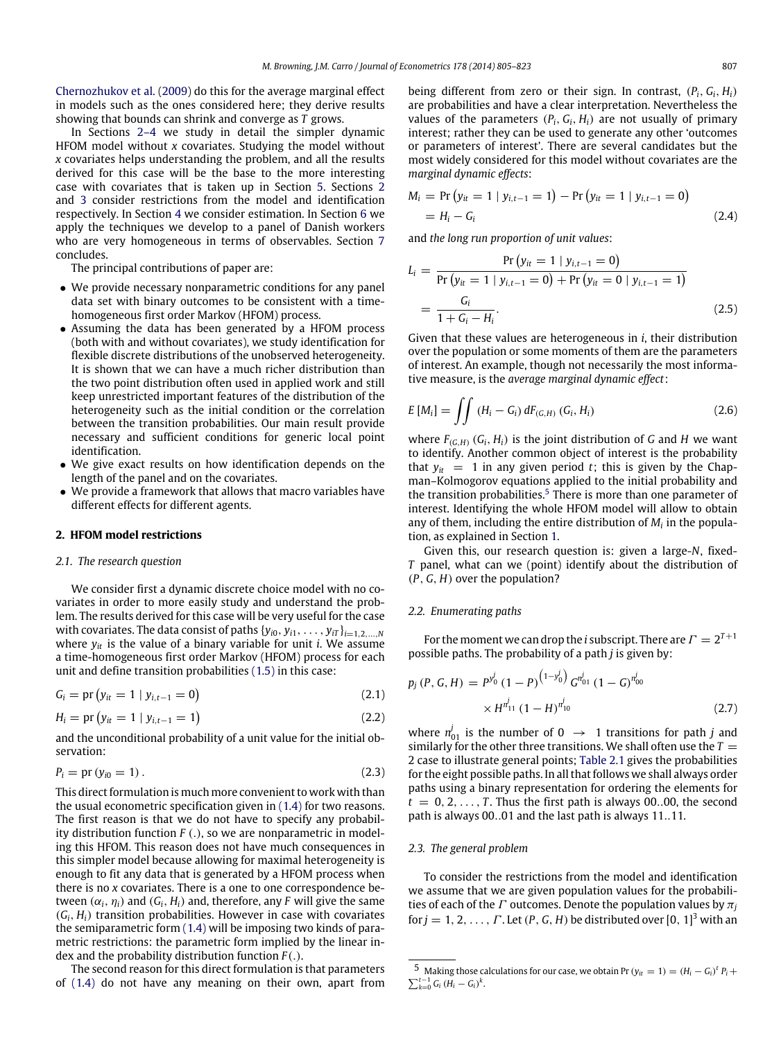[Chernozhukov](#page-18-17) [et al.](#page-18-17) [\(2009\)](#page-18-17) do this for the average marginal effect in models such as the ones considered here; they derive results showing that bounds can shrink and converge as *T* grows.

In Sections [2–4](#page-2-0) we study in detail the simpler dynamic HFOM model without *x* covariates. Studying the model without *x* covariates helps understanding the problem, and all the results derived for this case will be the base to the more interesting case with covariates that is taken up in Section [5.](#page-6-0) Sections [2](#page-2-0) and [3](#page-3-0) consider restrictions from the model and identification respectively. In Section [4](#page-5-0) we consider estimation. In Section [6](#page-9-0) we apply the techniques we develop to a panel of Danish workers who are very homogeneous in terms of observables. Section [7](#page-12-0) concludes.

The principal contributions of paper are:

- We provide necessary nonparametric conditions for any panel data set with binary outcomes to be consistent with a timehomogeneous first order Markov (HFOM) process.
- Assuming the data has been generated by a HFOM process (both with and without covariates), we study identification for flexible discrete distributions of the unobserved heterogeneity. It is shown that we can have a much richer distribution than the two point distribution often used in applied work and still keep unrestricted important features of the distribution of the heterogeneity such as the initial condition or the correlation between the transition probabilities. Our main result provide necessary and sufficient conditions for generic local point identification.
- We give exact results on how identification depends on the length of the panel and on the covariates.
- We provide a framework that allows that macro variables have different effects for different agents.

#### <span id="page-2-0"></span>**2. HFOM model restrictions**

#### *2.1. The research question*

We consider first a dynamic discrete choice model with no covariates in order to more easily study and understand the problem. The results derived for this case will be very useful for the case with covariates. The data consist of paths  $\{y_{i0}, y_{i1}, \ldots, y_{iT}\}_{i=1,2,\ldots,N}$ where  $y_{it}$  is the value of a binary variable for unit *i*. We assume a time-homogeneous first order Markov (HFOM) process for each unit and define transition probabilities [\(1.5\)](#page-1-3) in this case:

$$
G_i = \text{pr} \left( y_{it} = 1 \mid y_{i,t-1} = 0 \right) \tag{2.1}
$$

$$
H_i = \text{pr} \left( y_{it} = 1 \mid y_{i,t-1} = 1 \right) \tag{2.2}
$$

and the unconditional probability of a unit value for the initial observation:

$$
P_i = \text{pr} \left( y_{i0} = 1 \right). \tag{2.3}
$$

This direct formulation is much more convenient to work with than the usual econometric specification given in [\(1.4\)](#page-1-2) for two reasons. The first reason is that we do not have to specify any probability distribution function *F* (.), so we are nonparametric in modeling this HFOM. This reason does not have much consequences in this simpler model because allowing for maximal heterogeneity is enough to fit any data that is generated by a HFOM process when there is no *x* covariates. There is a one to one correspondence between  $(\alpha_i, \eta_i)$  and  $(G_i, H_i)$  and, therefore, any *F* will give the same  $(G_i, H_i)$  transition probabilities. However in case with covariates the semiparametric form [\(1.4\)](#page-1-2) will be imposing two kinds of parametric restrictions: the parametric form implied by the linear index and the probability distribution function *F* (.).

The second reason for this direct formulation is that parameters of [\(1.4\)](#page-1-2) do not have any meaning on their own, apart from being different from zero or their sign. In contrast, (*Pi*, *Gi*, *Hi*) are probabilities and have a clear interpretation. Nevertheless the values of the parameters  $(P_i, G_i, H_i)$  are not usually of primary interest; rather they can be used to generate any other 'outcomes or parameters of interest'. There are several candidates but the most widely considered for this model without covariates are the *marginal dynamic effects*:

$$
M_i = \Pr(y_{it} = 1 | y_{i,t-1} = 1) - \Pr(y_{it} = 1 | y_{i,t-1} = 0)
$$
  
=  $H_i - G_i$  (2.4)

and *the long run proportion of unit values*:

$$
L_{i} = \frac{\Pr(y_{it} = 1 \mid y_{i,t-1} = 0)}{\Pr(y_{it} = 1 \mid y_{i,t-1} = 0) + \Pr(y_{it} = 0 \mid y_{i,t-1} = 1)} = \frac{G_{i}}{1 + G_{i} - H_{i}}.
$$
\n(2.5)

Given that these values are heterogeneous in *i*, their distribution over the population or some moments of them are the parameters of interest. An example, though not necessarily the most informative measure, is the *average marginal dynamic effect*:

$$
E\left[M_{i}\right] = \iint \left(H_{i} - G_{i}\right) dF_{(G,H)}\left(G_{i}, H_{i}\right) \tag{2.6}
$$

where  $F_{(G,H)}$  ( $G_i$ ,  $H_i$ ) is the joint distribution of G and H we want to identify. Another common object of interest is the probability that  $y_{it} = 1$  in any given period *t*; this is given by the Chapman–Kolmogorov equations applied to the initial probability and the transition probabilities. $5$  There is more than one parameter of interest. Identifying the whole HFOM model will allow to obtain any of them, including the entire distribution of  $M_i$  in the population, as explained in Section [1.](#page-0-5)

Given this, our research question is: given a large-*N*, fixed-*T* panel, what can we (point) identify about the distribution of (*P*, *G*, *H*) over the population?

## *2.2. Enumerating paths*

For the moment we can drop the *i* subscript. There are  $\Gamma = 2^{T+1}$ possible paths. The probability of a path *j* is given by:

$$
p_j(P, G, H) = P^{y_0'} (1 - P)^{(1 - y_0')} G^{n_{01}'} (1 - G)^{n_{00}'} \times H^{n_{11}'} (1 - H)^{n_{10}'} \tag{2.7}
$$

<span id="page-2-2"></span>where  $n_{01}^j$  is the number of 0  $\rightarrow$  1 transitions for path *j* and similarly for the other three transitions. We shall often use the  $T =$ 2 case to illustrate general points; [Table 2.1](#page-3-1) gives the probabilities for the eight possible paths. In all that follows we shall always order paths using a binary representation for ordering the elements for  $t = 0, 2, \ldots, T$ . Thus the first path is always 00..00, the second path is always 00..01 and the last path is always 11..11.

#### *2.3. The general problem*

To consider the restrictions from the model and identification we assume that we are given population values for the probabilities of each of the  $\Gamma$  outcomes. Denote the population values by  $\pi$ <sup>*j*</sup>  $for j = 1, 2, \ldots, \Gamma$ . Let  $(P, G, H)$  be distributed over  $[0, 1]^3$  with an

<span id="page-2-1"></span> $^5$  Making those calculations for our case, we obtain Pr ( $y_{it} = 1$ ) = ( $H_i - G_i$ )<sup>t</sup> P<sub>i</sub> +  $\sum_{k=0}^{t-1} G_i (H_i - G_i)^k$ .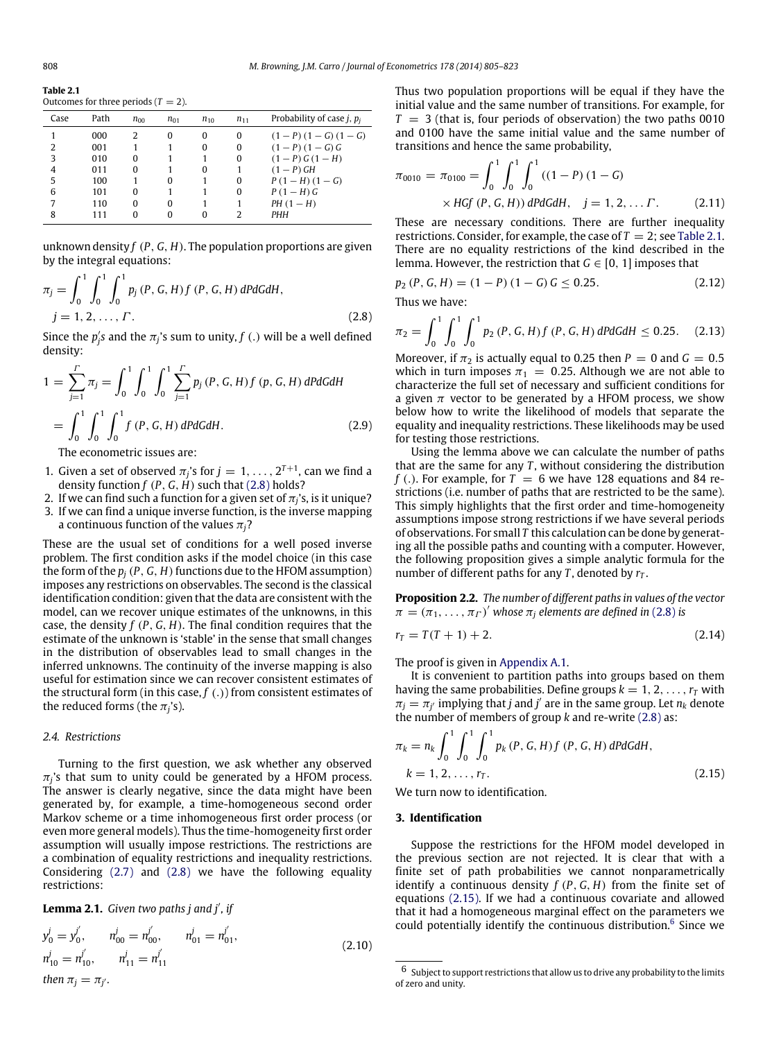<span id="page-3-1"></span>**Table 2.1** Outcomes for three periods  $(T - 2)$ .

|      | $\sigma$ are once in the extracted $\sigma$ $\mu$ = $\mu$ . |          |          |          |          |                                 |
|------|-------------------------------------------------------------|----------|----------|----------|----------|---------------------------------|
| Case | Path                                                        | $n_{00}$ | $n_{01}$ | $n_{10}$ | $n_{11}$ | Probability of case $j$ , $p_i$ |
|      | 000                                                         |          | 0        | 0        | 0        | $(1-P)(1-G)(1-G)$               |
| 2    | 001                                                         |          |          | 0        | 0        | $(1 - P) (1 - G) G$             |
| 3    | 010                                                         | 0        |          |          | 0        | $(1 - P) G (1 - H)$             |
| 4    | 011                                                         | 0        |          | $\Omega$ |          | $(1 - P)$ GH                    |
| 5    | 100                                                         |          |          |          | 0        | $P(1 - H)(1 - G)$               |
| 6    | 101                                                         | 0        |          |          | 0        | $P(1-H)$                        |
| 7    | 110                                                         | 0        | 0        |          |          | $PH(1-H)$                       |
| 8    | 111                                                         | 0        | 0        | O        |          | PHH                             |
|      |                                                             |          |          |          |          |                                 |

unknown density *f* (*P*, *G*, *H*). The population proportions are given by the integral equations:

$$
\pi_j = \int_0^1 \int_0^1 \int_0^1 p_j(P, G, H) f(P, G, H) \, dP dG dH,
$$
  
\n
$$
j = 1, 2, \dots, \Gamma.
$$
\n(2.8)

Since the  $p'_j$ s and the  $\pi_j$ 's sum to unity,  $f$  (.) will be a well defined density:

$$
1 = \sum_{j=1}^{P} \pi_j = \int_0^1 \int_0^1 \int_0^1 \sum_{j=1}^{P} p_j(P, G, H) f(p, G, H) \, dP dG dH
$$

$$
= \int_0^1 \int_0^1 \int_0^1 f(P, G, H) \, dP dG dH. \tag{2.9}
$$

The econometric issues are:

- 1. Given a set of observed  $\pi_j$ 's for  $j = 1, \ldots, 2^{T+1}$ , can we find a density function  $f(P, G, H)$  such that [\(2.8\)](#page-3-2) holds?
- 2. If we can find such a function for a given set of  $\pi_j$ 's, is it unique?
- 3. If we can find a unique inverse function, is the inverse mapping a continuous function of the values  $\pi$ <sub>*i*</sub>?

These are the usual set of conditions for a well posed inverse problem. The first condition asks if the model choice (in this case the form of the  $p_i$  ( $P$ ,  $G$ ,  $H$ ) functions due to the HFOM assumption) imposes any restrictions on observables. The second is the classical identification condition: given that the data are consistent with the model, can we recover unique estimates of the unknowns, in this case, the density *f* (*P*, *G*, *H*). The final condition requires that the estimate of the unknown is 'stable' in the sense that small changes in the distribution of observables lead to small changes in the inferred unknowns. The continuity of the inverse mapping is also useful for estimation since we can recover consistent estimates of the structural form (in this case, *f* (.)) from consistent estimates of the reduced forms (the  $\pi_j$ 's).

#### <span id="page-3-5"></span>*2.4. Restrictions*

Turning to the first question, we ask whether any observed  $\pi_j$ 's that sum to unity could be generated by a HFOM process. The answer is clearly negative, since the data might have been generated by, for example, a time-homogeneous second order Markov scheme or a time inhomogeneous first order process (or even more general models). Thus the time-homogeneity first order assumption will usually impose restrictions. The restrictions are a combination of equality restrictions and inequality restrictions. Considering [\(2.7\)](#page-2-2) and [\(2.8\)](#page-3-2) we have the following equality restrictions:

<span id="page-3-7"></span>**Lemma 2.1.** *Given two paths j and j*′ *, if*

$$
y_0^j = y_0^{j'}, \t n_{00}^j = n_{00}^{j'}, \t n_{01}^j = n_{01}^{j'},
$$
  
\n
$$
n_{10}^j = n_{10}^{j'}, \t n_{11}^j = n_{11}^{j'}.
$$
  
\nthen  $\pi_j = \pi_{j'}$ . (2.10)

Thus two population proportions will be equal if they have the initial value and the same number of transitions. For example, for  $T = 3$  (that is, four periods of observation) the two paths 0010 and 0100 have the same initial value and the same number of transitions and hence the same probability,

$$
\pi_{0010} = \pi_{0100} = \int_0^1 \int_0^1 \int_0^1 ((1 - P) (1 - G) \times HGf (P, G, H)) \, dP dG dH, \quad j = 1, 2, \dots \Gamma. \tag{2.11}
$$

These are necessary conditions. There are further inequality restrictions. Consider, for example, the case of  $T = 2$ ; see [Table 2.1.](#page-3-1) There are no equality restrictions of the kind described in the lemma. However, the restriction that  $G \in [0, 1]$  imposes that

$$
p_2(P, G, H) = (1 - P) (1 - G) G \le 0.25.
$$
 (2.12)

Thus we have:

<span id="page-3-2"></span>
$$
\pi_2 = \int_0^1 \int_0^1 \int_0^1 p_2(P, G, H) f(P, G, H) \, dP dG dH \le 0.25. \tag{2.13}
$$

Moreover, if  $\pi_2$  is actually equal to 0.25 then  $P = 0$  and  $G = 0.5$ which in turn imposes  $\pi_1 = 0.25$ . Although we are not able to characterize the full set of necessary and sufficient conditions for a given  $\pi$  vector to be generated by a HFOM process, we show below how to write the likelihood of models that separate the equality and inequality restrictions. These likelihoods may be used for testing those restrictions.

Using the lemma above we can calculate the number of paths that are the same for any *T* , without considering the distribution *f* (.). For example, for  $T = 6$  we have 128 equations and 84 restrictions (i.e. number of paths that are restricted to be the same). This simply highlights that the first order and time-homogeneity assumptions impose strong restrictions if we have several periods of observations. For small *T* this calculation can be done by generating all the possible paths and counting with a computer. However, the following proposition gives a simple analytic formula for the number of different paths for any *T* , denoted by *r<sup>T</sup>* .

<span id="page-3-8"></span>**Proposition 2.2.** *The number of different paths in values of the vector*  $\pi = (\pi_1, \dots, \pi_{\Gamma})'$  whose  $\pi_j$  elements are defined in [\(2.8\)](#page-3-2) is

<span id="page-3-6"></span>
$$
r_T = T(T + 1) + 2. \t\t(2.14)
$$

The proof is given in [Appendix A.1.](#page-12-1)

It is convenient to partition paths into groups based on them having the same probabilities. Define groups  $k = 1, 2, \ldots, r<sub>T</sub>$  with  $\pi_j = \pi_{j'}$  implying that *j* and *j'* are in the same group. Let  $n_k$  denote the number of members of group *k* and re-write [\(2.8\)](#page-3-2) as:

$$
\pi_k = n_k \int_0^1 \int_0^1 \int_0^1 p_k(P, G, H) f(P, G, H) \, dP dG dH,
$$
\n
$$
k = 1, 2, \dots, r_T.
$$
\n(2.15)

<span id="page-3-3"></span>We turn now to identification.

## <span id="page-3-0"></span>**3. Identification**

Suppose the restrictions for the HFOM model developed in the previous section are not rejected. It is clear that with a finite set of path probabilities we cannot nonparametrically identify a continuous density  $f(P, G, H)$  from the finite set of equations [\(2.15\).](#page-3-3) If we had a continuous covariate and allowed that it had a homogeneous marginal effect on the parameters we could potentially identify the continuous distribution. $6$  Since we

<span id="page-3-4"></span> $\,$  6  $\,$  Subject to support restrictions that allow us to drive any probability to the limits of zero and unity.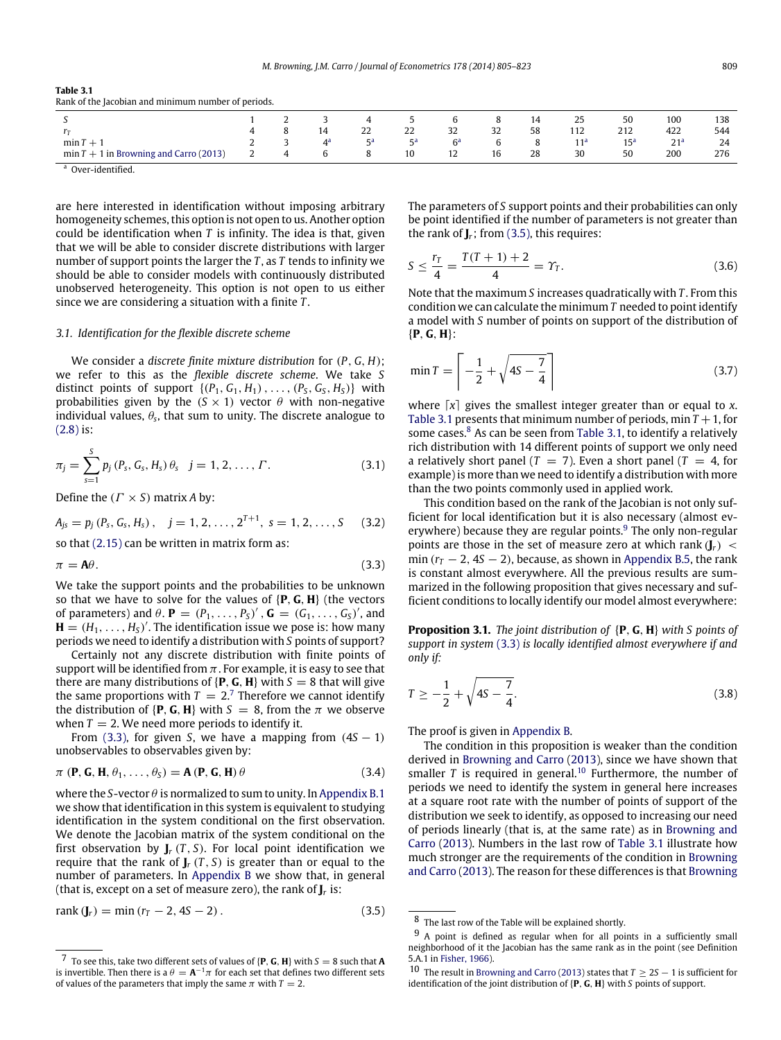<span id="page-4-4"></span>

| Table 3.1                                           |
|-----------------------------------------------------|
| Rank of the Jacobian and minimum number of periods. |

|                                               |          |       | 4  |         | b              | Ō  | 14 | 25              | 50              | 100             | 138 |
|-----------------------------------------------|----------|-------|----|---------|----------------|----|----|-----------------|-----------------|-----------------|-----|
|                                               |          | 14    | 22 | ີ<br>ZZ | 32             | 32 | 58 | 112             | 212             | 422             | 544 |
| $min T + 1$                                   |          | $4^a$ | Ęа |         | 6 <sup>a</sup> |    |    | 11 <sup>d</sup> | 1E <sub>a</sub> | 21 <sup>a</sup> | 24  |
| 1 in Browning and Carro (2013)<br>$min T + 1$ | <b>L</b> | o     | 8  | 10      | 12             | 16 | 28 | 30              | 50              | 200             | 276 |

<span id="page-4-0"></span><sup>a</sup> Over-identified.

are here interested in identification without imposing arbitrary homogeneity schemes, this option is not open to us. Another option could be identification when *T* is infinity. The idea is that, given that we will be able to consider discrete distributions with larger number of support points the larger the *T* , as *T* tends to infinity we should be able to consider models with continuously distributed unobserved heterogeneity. This option is not open to us either since we are considering a situation with a finite *T* .

#### <span id="page-4-11"></span>*3.1. Identification for the flexible discrete scheme*

We consider a *discrete finite mixture distribution* for (*P*, *G*, *H*); we refer to this as the *flexible discrete scheme*. We take *S* distinct points of support  $\{(P_1, G_1, H_1), \ldots, (P_S, G_S, H_S)\}\$  with probabilities given by the  $(S \times 1)$  vector  $\theta$  with non-negative individual values,  $\theta_{\rm s}$ , that sum to unity. The discrete analogue to [\(2.8\)](#page-3-2) is:

<span id="page-4-13"></span>
$$
\pi_j = \sum_{s=1}^{S} p_j(P_s, G_s, H_s) \theta_s \quad j = 1, 2, ..., \Gamma.
$$
 (3.1)

Define the  $(\Gamma \times S)$  matrix *A* by:

 $A_{js} = p_j(P_s, G_s, H_s), \quad j = 1, 2, ..., 2^{T+1}, \ s = 1, 2, ..., S$  (3.2)

so that [\(2.15\)](#page-3-3) can be written in matrix form as:

$$
\pi = \mathbf{A}\theta. \tag{3.3}
$$

We take the support points and the probabilities to be unknown so that we have to solve for the values of {**P**, **G**, **H**} (the vectors of parameters) and  $\theta$ .  $\mathbf{P} = (P_1, \ldots, P_S)'$  ,  $\mathbf{G} = (G_1, \ldots, G_S)'$ , and  $\mathbf{H} = (H_1, \ldots, H_S)'$ . The identification issue we pose is: how many periods we need to identify a distribution with *S* points of support?

Certainly not any discrete distribution with finite points of support will be identified from  $\pi$ . For example, it is easy to see that there are many distributions of  $\{P, G, H\}$  with  $S = 8$  that will give the same proportions with  $T = 2$ .<sup>[7](#page-4-1)</sup> Therefore we cannot identify the distribution of  $\{P, G, H\}$  with  $S = 8$ , from the  $\pi$  we observe when  $T = 2$ . We need more periods to identify it.

From [\(3.3\),](#page-4-2) for given *S*, we have a mapping from  $(4S - 1)$ unobservables to observables given by:

$$
\pi (\mathbf{P}, \mathbf{G}, \mathbf{H}, \theta_1, \dots, \theta_S) = \mathbf{A} (\mathbf{P}, \mathbf{G}, \mathbf{H}) \theta
$$
\n(3.4)

where the *S*-vector  $\theta$  is normalized to sum to unity. In [Appendix B.1](#page-13-0) we show that identification in this system is equivalent to studying identification in the system conditional on the first observation. We denote the Jacobian matrix of the system conditional on the first observation by  $J_r$  (*T*, *S*). For local point identification we require that the rank of  $J_r(T, S)$  is greater than or equal to the number of parameters. In [Appendix B](#page-13-1) we show that, in general (that is, except on a set of measure zero), the rank of **J***<sup>r</sup>* is:

$$
rank (J_r) = min (r_T - 2, 4S - 2).
$$
 (3.5)

The parameters of *S* support points and their probabilities can only be point identified if the number of parameters is not greater than the rank of  $J_r$ ; from [\(3.5\),](#page-4-3) this requires:

<span id="page-4-12"></span>
$$
S \le \frac{r_T}{4} = \frac{T(T+1) + 2}{4} = \gamma_T. \tag{3.6}
$$

Note that the maximum *S* increases quadratically with *T* . From this condition we can calculate the minimum *T* needed to point identify a model with *S* number of points on support of the distribution of {**P**, **G**, **H**}:

$$
\min T = \left[ -\frac{1}{2} + \sqrt{4S - \frac{7}{4}} \right] \tag{3.7}
$$

<span id="page-4-10"></span>where  $\lceil x \rceil$  gives the smallest integer greater than or equal to *x*. [Table 3.1](#page-4-4) presents that minimum number of periods, min  $T + 1$ , for some cases. $8$  As can be seen from [Table 3.1,](#page-4-4) to identify a relatively rich distribution with 14 different points of support we only need a relatively short panel  $(T = 7)$ . Even a short panel  $(T = 4)$ , for example) is more than we need to identify a distribution with more than the two points commonly used in applied work.

<span id="page-4-2"></span>This condition based on the rank of the Jacobian is not only sufficient for local identification but it is also necessary (almost ev-erywhere) because they are regular points.<sup>[9](#page-4-6)</sup> The only non-regular points are those in the set of measure zero at which rank  $(I_r)$  < min  $(r_T - 2, 4S - 2)$ , because, as shown in [Appendix B.5,](#page-16-0) the rank is constant almost everywhere. All the previous results are summarized in the following proposition that gives necessary and sufficient conditions to locally identify our model almost everywhere:

<span id="page-4-9"></span>**Proposition 3.1.** *The joint distribution of* {**P**, **G**, **H**} *with S points of support in system* [\(3.3\)](#page-4-2) *is locally identified almost everywhere if and only if:*

<span id="page-4-8"></span>
$$
T \ge -\frac{1}{2} + \sqrt{4S - \frac{7}{4}}.\tag{3.8}
$$

The proof is given in [Appendix B.](#page-13-1)

<span id="page-4-14"></span>The condition in this proposition is weaker than the condition derived in [Browning](#page-18-18) [and](#page-18-18) [Carro](#page-18-18) [\(2013\)](#page-18-18), since we have shown that smaller  $T$  is required in general.<sup>[10](#page-4-7)</sup> Furthermore, the number of periods we need to identify the system in general here increases at a square root rate with the number of points of support of the distribution we seek to identify, as opposed to increasing our need of periods linearly (that is, at the same rate) as in [Browning](#page-18-18) [and](#page-18-18) [Carro](#page-18-18) [\(2013\)](#page-18-18). Numbers in the last row of [Table 3.1](#page-4-4) illustrate how much stronger are the requirements of the condition in [Browning](#page-18-18) [and](#page-18-18) [Carro](#page-18-18) [\(2013\)](#page-18-18). The reason for these differences is that [Browning](#page-18-18)

<span id="page-4-1"></span><sup>&</sup>lt;sup>7</sup> To see this, take two different sets of values of {**P**, **G**, **H**} with  $S = 8$  such that **A** is invertible. Then there is a  $\theta = \mathbf{A}^{-1}\pi$  for each set that defines two different sets of values of the parameters that imply the same  $\pi$  with  $T = 2$ .

<span id="page-4-5"></span><span id="page-4-3"></span><sup>8</sup> The last row of the Table will be explained shortly.

<span id="page-4-6"></span><sup>9</sup> A point is defined as regular when for all points in a sufficiently small neighborhood of it the Jacobian has the same rank as in the point (see Definition 5.A.1 in [Fisher,](#page-18-19) [1966\)](#page-18-19).

<span id="page-4-7"></span><sup>10</sup> The result in [Browning](#page-18-18) [and](#page-18-18) [Carro](#page-18-18) [\(2013\)](#page-18-18) states that *T* ≥ 2*S* − 1 is sufficient for identification of the joint distribution of {**P**, **G**, **H**} with *S* points of support.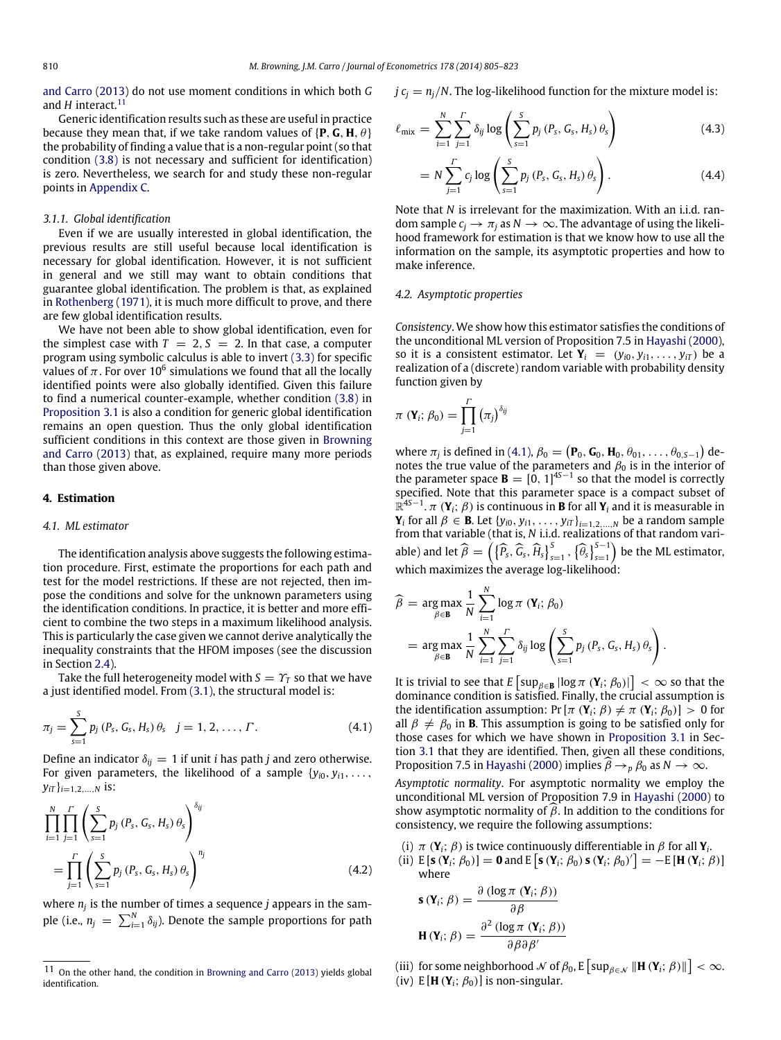[and](#page-18-18) [Carro](#page-18-18) [\(2013\)](#page-18-18) do not use moment conditions in which both *G* and *H* interact.<sup>[11](#page-5-1)</sup>

Generic identification results such as these are useful in practice because they mean that, if we take random values of  $\{P, G, H, \theta\}$ the probability of finding a value that is a non-regular point (so that condition [\(3.8\)](#page-4-8) is not necessary and sufficient for identification) is zero. Nevertheless, we search for and study these non-regular points in [Appendix C.](#page-17-0)

## *3.1.1. Global identification*

Even if we are usually interested in global identification, the previous results are still useful because local identification is necessary for global identification. However, it is not sufficient in general and we still may want to obtain conditions that guarantee global identification. The problem is that, as explained in [Rothenberg](#page-18-20) [\(1971\)](#page-18-20), it is much more difficult to prove, and there are few global identification results.

We have not been able to show global identification, even for the simplest case with  $T = 2, S = 2$ . In that case, a computer program using symbolic calculus is able to invert [\(3.3\)](#page-4-2) for specific values of  $\pi.$  For over  $10^6$  simulations we found that all the locally identified points were also globally identified. Given this failure to find a numerical counter-example, whether condition [\(3.8\)](#page-4-8) in [Proposition 3.1](#page-4-9) is also a condition for generic global identification remains an open question. Thus the only global identification sufficient conditions in this context are those given in [Browning](#page-18-18) [and](#page-18-18) [Carro](#page-18-18) [\(2013\)](#page-18-18) that, as explained, require many more periods than those given above.

#### <span id="page-5-0"></span>**4. Estimation**

#### *4.1. ML estimator*

The identification analysis above suggests the following estimation procedure. First, estimate the proportions for each path and test for the model restrictions. If these are not rejected, then impose the conditions and solve for the unknown parameters using the identification conditions. In practice, it is better and more efficient to combine the two steps in a maximum likelihood analysis. This is particularly the case given we cannot derive analytically the inequality constraints that the HFOM imposes (see the discussion in Section [2.4\)](#page-3-5).

Take the full heterogeneity model with  $S = \gamma_T$  so that we have a just identified model. From [\(3.1\),](#page-4-10) the structural model is:

$$
\pi_j = \sum_{s=1}^{S} p_j (P_s, G_s, H_s) \theta_s \quad j = 1, 2, ..., \Gamma.
$$
 (4.1)

Define an indicator  $\delta_{ij} = 1$  if unit *i* has path *j* and zero otherwise. For given parameters, the likelihood of a sample  $\{y_{i0}, y_{i1}, \ldots,$  $y_{iT}$ <sub>*i*=1,2,...,*N* is:</sub>

$$
\prod_{i=1}^{N} \prod_{j=1}^{P} \left( \sum_{s=1}^{S} p_j (P_s, G_s, H_s) \theta_s \right)^{\delta_{ij}} \n= \prod_{j=1}^{P} \left( \sum_{s=1}^{S} p_j (P_s, G_s, H_s) \theta_s \right)^{n_j}
$$
\n(4.2)

where *n<sup>j</sup>* is the number of times a sequence *j* appears in the sample (i.e.,  $n_j~=~\sum_{i=1}^N\delta_{ij}$ ). Denote the sample proportions for path  $j c_i = n_i/N$ . The log-likelihood function for the mixture model is:

$$
\ell_{\text{mix}} = \sum_{i=1}^{N} \sum_{j=1}^{T} \delta_{ij} \log \left( \sum_{s=1}^{S} p_j \left( P_s, G_s, H_s \right) \theta_s \right) \tag{4.3}
$$

$$
= N \sum_{j=1}^{P} c_j \log \left( \sum_{s=1}^{S} p_j (P_s, G_s, H_s) \theta_s \right).
$$
 (4.4)

Note that *N* is irrelevant for the maximization. With an i.i.d. random sample  $c_i \rightarrow \pi_i$  as  $N \rightarrow \infty$ . The advantage of using the likelihood framework for estimation is that we know how to use all the information on the sample, its asymptotic properties and how to make inference.

#### *4.2. Asymptotic properties*

*Consistency*. We show how this estimator satisfies the conditions of the unconditional ML version of Proposition 7.5 in [Hayashi](#page-18-21) [\(2000\)](#page-18-21), so it is a consistent estimator. Let  $Y_i = (y_{i0}, y_{i1}, \ldots, y_{iT})$  be a realization of a (discrete) random variable with probability density function given by

$$
\pi\left(\mathbf{Y}_{i};\,\beta_{0}\right)=\prod_{j=1}^{\Gamma}\left(\pi_{j}\right)^{\delta_{ij}}
$$

where  $\pi_j$  is defined in [\(4.1\),](#page-5-2)  $\beta_0 = (\mathbf{P}_0, \mathbf{G}_0, \mathbf{H}_0, \theta_{01}, \dots, \theta_{0, S-1})$  denotes the true value of the parameters and  $\beta_0$  is in the interior of the parameter space  $\mathbf{B} = \begin{bmatrix} 0 \\ 1 \end{bmatrix}^{4S-1}$  so that the model is correctly specified. Note that this parameter space is a compact subset of  $\mathbb{R}^{4S-1}$ .  $\pi$  (**Y**<sub>*i*</sub>;  $\beta$ ) is continuous in **B** for all **Y**<sub>*i*</sub> and it is measurable in **Y**<sub>*i*</sub> for all  $\beta \in \mathbf{B}$ . Let  $\{y_{i0}, y_{i1}, \ldots, y_{iT}\}_{i=1,2,\ldots,N}$  be a random sample from that variable (that is, *N* i.i.d. realizations of that random variable) and let  $\widehat{\beta} = \left( \{\widehat{P}_s, \widehat{G}_s, \widehat{H}_s\}_{s=1}^S, \{\widehat{\theta}_s\}_{s=1}^{S-1} \right)$  be the ML estimator, which maximizes the average log-likelihood:

$$
\widehat{\beta} = \underset{\beta \in \mathbf{B}}{\arg \max} \frac{1}{N} \sum_{i=1}^{N} \log \pi \left( \mathbf{Y}_{i}; \beta_{0} \right)
$$
  
= 
$$
\underset{\beta \in \mathbf{B}}{\arg \max} \frac{1}{N} \sum_{i=1}^{N} \sum_{j=1}^{r} \delta_{ij} \log \left( \sum_{s=1}^{S} p_{j} \left( P_{s}, G_{s}, H_{s} \right) \theta_{s} \right).
$$

<span id="page-5-2"></span>It is trivial to see that  $E\left[\sup_{\beta\in\mathbf{B}}\left|\log\pi\left(\mathbf{Y}_i;\,\beta_0\right)\right|\right]<\infty$  so that the dominance condition is satisfied. Finally, the crucial assumption is the identification assumption: Pr  $[\pi (\mathbf{Y}_i; \beta) \neq \pi (\mathbf{Y}_i; \beta_0)] > 0$  for all  $\beta \neq \beta_0$  in **B**. This assumption is going to be satisfied only for those cases for which we have shown in [Proposition 3.1](#page-4-9) in Section [3.1](#page-4-11) that they are identified. Then, given all these conditions, Proposition 7.5 in [Hayashi](#page-18-21) [\(2000\)](#page-18-21) implies  $\widehat{\beta} \rightarrow_{p} \beta_0$  as  $N \rightarrow \infty$ .

*Asymptotic normality*. For asymptotic normality we employ the unconditional ML version of Proposition 7.9 in [Hayashi](#page-18-21) [\(2000\)](#page-18-21) to show asymptotic normality of  $\widehat{\beta}$ . In addition to the conditions for consistency, we require the following assumptions:

(i)  $\pi$  (**Y**<sub>*i*</sub>;  $\beta$ ) is twice continuously differentiable in  $\beta$  for all **Y**<sub>*i*</sub> (ii)  $E[\mathbf{s}(\mathbf{Y}_i; \beta_0)] = \mathbf{0}$  and  $E[\mathbf{s}(\mathbf{Y}_i; \beta_0) \mathbf{s}(\mathbf{Y}_i; \beta_0)] = -E[\mathbf{H}(\mathbf{Y}_i; \beta)]$ where

$$
\mathbf{s}(\mathbf{Y}_i; \beta) = \frac{\partial (\log \pi (\mathbf{Y}_i; \beta))}{\partial \beta}
$$

$$
\mathbf{H}(\mathbf{Y}_i; \beta) = \frac{\partial^2 (\log \pi (\mathbf{Y}_i; \beta))}{\partial \beta \partial \beta'}
$$

(iii) for some neighborhood  $\mathcal N$  of  $\beta_0$ , E  $\left[\sup_{\beta \in \mathcal N} \|\mathbf H\left(\mathbf Y_i; \beta\right)\|\right] < \infty$ .

(iv)  $E[H(Y_i; \beta_0)]$  is non-singular.

<span id="page-5-1"></span><sup>11</sup> On the other hand, the condition in [Browning](#page-18-18) [and](#page-18-18) [Carro](#page-18-18) [\(2013\)](#page-18-18) yields global identification.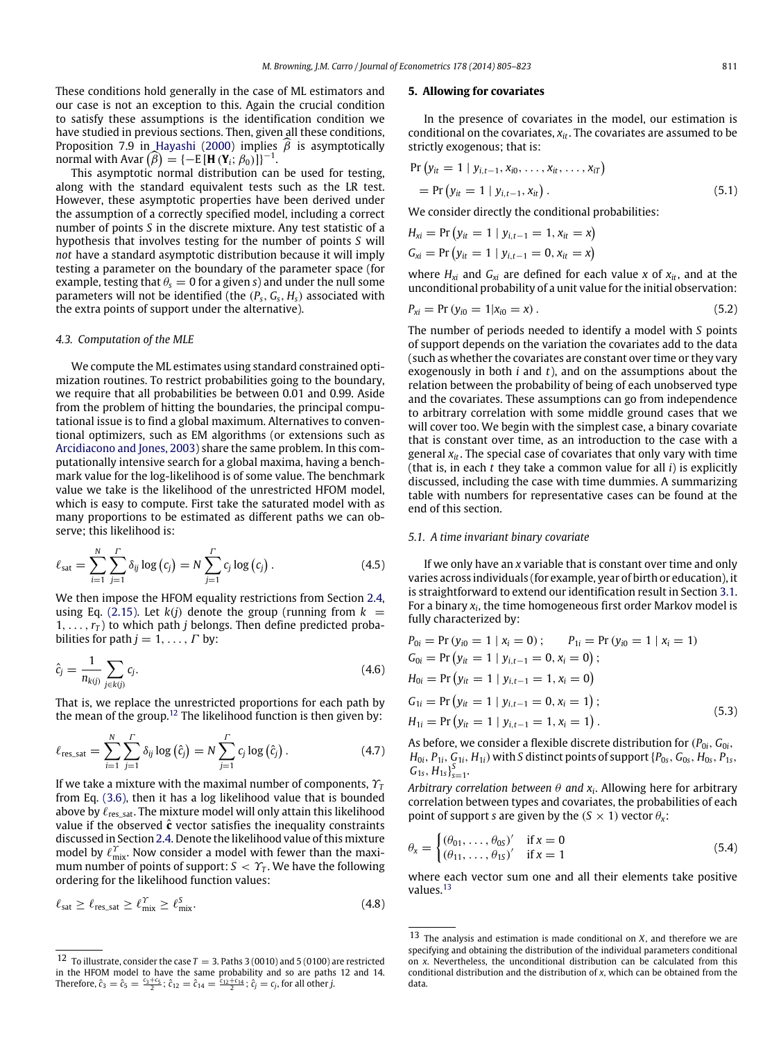These conditions hold generally in the case of ML estimators and our case is not an exception to this. Again the crucial condition to satisfy these assumptions is the identification condition we have studied in previous sections. Then, given all these conditions, Proposition 7.9 in [Hayashi](#page-18-21) [\(2000\)](#page-18-21) implies  $\widehat{\beta}$  is asymptotically normal with Avar  $\widehat{\beta}$  = {-E [**H** (**Y**<sub>*i*</sub>;  $\beta_0$ )]}<sup>-1</sup>.

This asymptotic normal distribution can be used for testing, along with the standard equivalent tests such as the LR test. However, these asymptotic properties have been derived under the assumption of a correctly specified model, including a correct number of points *S* in the discrete mixture. Any test statistic of a hypothesis that involves testing for the number of points *S* will *not* have a standard asymptotic distribution because it will imply testing a parameter on the boundary of the parameter space (for example, testing that  $\theta_s = 0$  for a given *s*) and under the null some parameters will not be identified (the (*Ps*, *Gs*, *Hs*) associated with the extra points of support under the alternative).

## *4.3. Computation of the MLE*

We compute the ML estimates using standard constrained optimization routines. To restrict probabilities going to the boundary, we require that all probabilities be between 0.01 and 0.99. Aside from the problem of hitting the boundaries, the principal computational issue is to find a global maximum. Alternatives to conventional optimizers, such as EM algorithms (or extensions such as [Arcidiacono](#page-18-22) [and](#page-18-22) [Jones,](#page-18-22) [2003\)](#page-18-22) share the same problem. In this computationally intensive search for a global maxima, having a benchmark value for the log-likelihood is of some value. The benchmark value we take is the likelihood of the unrestricted HFOM model, which is easy to compute. First take the saturated model with as many proportions to be estimated as different paths we can observe; this likelihood is:

$$
\ell_{\text{sat}} = \sum_{i=1}^{N} \sum_{j=1}^{r} \delta_{ij} \log (c_j) = N \sum_{j=1}^{r} c_j \log (c_j) . \tag{4.5}
$$

We then impose the HFOM equality restrictions from Section [2.4,](#page-3-5) using Eq. [\(2.15\).](#page-3-3) Let  $k(j)$  denote the group (running from  $k =$  $1, \ldots, r<sub>T</sub>$ ) to which path *j* belongs. Then define predicted probabilities for path  $j = 1, \ldots, \Gamma$  by:

$$
\hat{c}_j = \frac{1}{n_{k(j)}} \sum_{j \in k(j)} c_j.
$$
\n(4.6)

That is, we replace the unrestricted proportions for each path by the mean of the group.<sup>[12](#page-6-1)</sup> The likelihood function is then given by:

$$
\ell_{\text{res}\_\text{sat}} = \sum_{i=1}^{N} \sum_{j=1}^{T} \delta_{ij} \log \left( \hat{c}_j \right) = N \sum_{j=1}^{T} c_j \log \left( \hat{c}_j \right). \tag{4.7}
$$

If we take a mixture with the maximal number of components,  $\gamma$ <sup>T</sup> from Eq. [\(3.6\),](#page-4-12) then it has a log likelihood value that is bounded above by  $\ell_{res\_sat}$ . The mixture model will only attain this likelihood value if the observed  $\hat{c}$  vector satisfies the inequality constraints discussed in Section [2.4.](#page-3-5) Denote the likelihood value of this mixture model by  $\ell_{\rm mix}^{\Upsilon}$ . Now consider a model with fewer than the maximum number of points of support:  $S < \Upsilon_T$ . We have the following ordering for the likelihood function values:

$$
\ell_{\text{sat}} \ge \ell_{\text{res}\_\text{sat}} \ge \ell_{\text{mix}}^{\Upsilon} \ge \ell_{\text{mix}}^{\S}.\tag{4.8}
$$

#### <span id="page-6-0"></span>**5. Allowing for covariates**

In the presence of covariates in the model, our estimation is conditional on the covariates, *xit*. The covariates are assumed to be strictly exogenous; that is:

$$
\Pr(y_{it} = 1 | y_{i,t-1}, x_{i0}, \dots, x_{it}, \dots, x_{iT})
$$
\n
$$
= \Pr(y_{it} = 1 | y_{i,t-1}, x_{it}). \tag{5.1}
$$

We consider directly the conditional probabilities:

$$
H_{xi} = \Pr(y_{it} = 1 | y_{i,t-1} = 1, x_{it} = x)
$$
  

$$
G_{xi} = \Pr(y_{it} = 1 | y_{i,t-1} = 0, x_{it} = x)
$$

where  $H_{x_i}$  and  $G_{x_i}$  are defined for each value x of  $x_i$ , and at the unconditional probability of a unit value for the initial observation:

$$
P_{xi} = \Pr(y_{i0} = 1 | x_{i0} = x) \,. \tag{5.2}
$$

The number of periods needed to identify a model with *S* points of support depends on the variation the covariates add to the data (such as whether the covariates are constant over time or they vary exogenously in both *i* and *t*), and on the assumptions about the relation between the probability of being of each unobserved type and the covariates. These assumptions can go from independence to arbitrary correlation with some middle ground cases that we will cover too. We begin with the simplest case, a binary covariate that is constant over time, as an introduction to the case with a general *xit*. The special case of covariates that only vary with time (that is, in each *t* they take a common value for all *i*) is explicitly discussed, including the case with time dummies. A summarizing table with numbers for representative cases can be found at the end of this section.

#### <span id="page-6-3"></span>*5.1. A time invariant binary covariate*

If we only have an *x* variable that is constant over time and only varies across individuals (for example, year of birth or education), it is straightforward to extend our identification result in Section [3.1.](#page-4-11) For a binary *x<sup>i</sup>* , the time homogeneous first order Markov model is fully characterized by:

$$
P_{0i} = Pr (y_{i0} = 1 | x_i = 0); \t P_{1i} = Pr (y_{i0} = 1 | x_i = 1)
$$
  
\n
$$
G_{0i} = Pr (y_{it} = 1 | y_{i,t-1} = 0, x_i = 0);
$$
  
\n
$$
H_{0i} = Pr (y_{it} = 1 | y_{i,t-1} = 1, x_i = 0)
$$
  
\n
$$
G_{1i} = Pr (y_{it} = 1 | y_{i,t-1} = 0, x_i = 1);
$$
  
\n
$$
H_{1i} = Pr (y_{it} = 1 | y_{i,t-1} = 1, x_i = 1).
$$
\n(5.3)

<span id="page-6-4"></span>As before, we consider a flexible discrete distribution for  $(P_{0i}, G_{0i},$  $H_{0i}$ ,  $P_{1i}$ ,  $G_{1i}$ ,  $H_{1i}$ ) with *S* distinct points of support { $P_{0s}$ ,  $G_{0s}$ ,  $H_{0s}$ ,  $P_{1s}$ ,  $G_{1s}, H_{1s}$ <sub>s=1</sub>.

*Arbitrary correlation between*  $\theta$  *and*  $x_i$ . Allowing here for arbitrary correlation between types and covariates, the probabilities of each point of support *s* are given by the  $(S \times 1)$  vector  $\theta_x$ :

$$
\theta_{x} = \begin{cases} (\theta_{01}, \dots, \theta_{0S})' & \text{if } x = 0\\ (\theta_{11}, \dots, \theta_{1S})' & \text{if } x = 1 \end{cases}
$$
\n(5.4)

where each vector sum one and all their elements take positive values.<sup>[13](#page-6-2)</sup>

<span id="page-6-1"></span><sup>&</sup>lt;sup>12</sup> To illustrate, consider the case  $T = 3$ . Paths 3 (0010) and 5 (0100) are restricted in the HFOM model to have the same probability and so are paths 12 and 14.<br>Therefore,  $\hat{c}_3 = \hat{c}_5 = \frac{c_3+c_3}{2}$ ;  $\hat{c}_{12} = \hat{c}_{14} = \frac{c_{12}+c_{14}}{2}$ ;  $\hat{c}_j = c_j$ , for all other *j*.

<span id="page-6-2"></span><sup>13</sup> The analysis and estimation is made conditional on *X*, and therefore we are specifying and obtaining the distribution of the individual parameters conditional on *x*. Nevertheless, the unconditional distribution can be calculated from this conditional distribution and the distribution of *x*, which can be obtained from the data.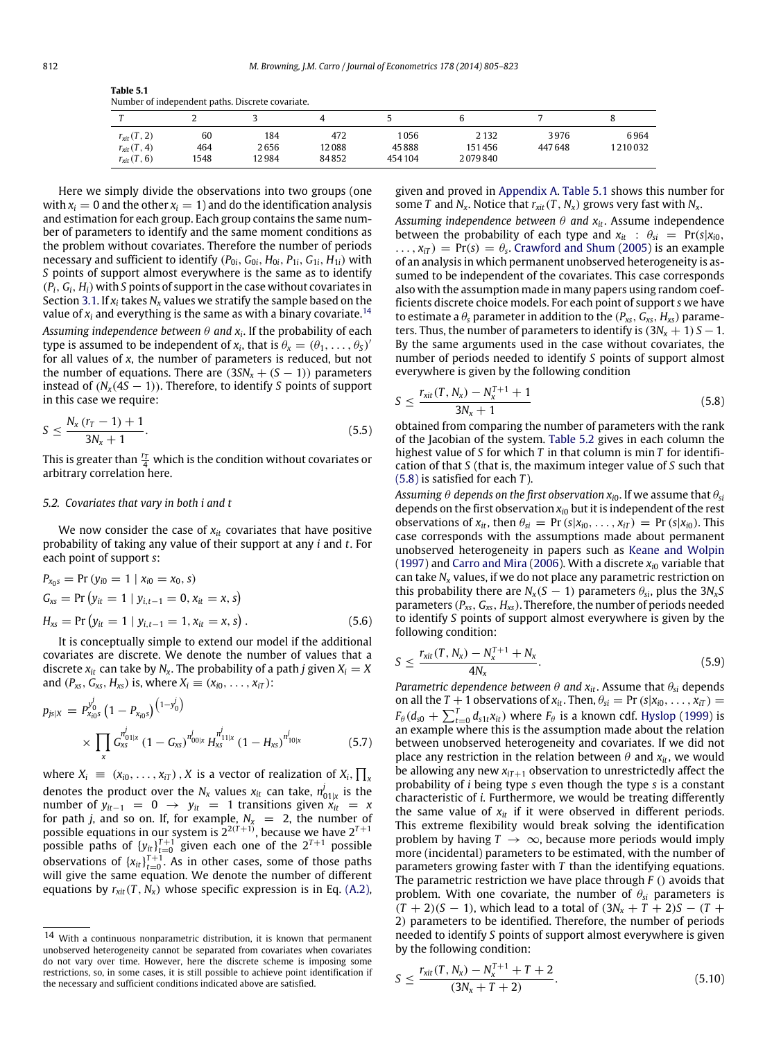<span id="page-7-1"></span>**Table 5.1** Number of independent paths. Discrete covariate.

| $r_{\text{xit}}(T, 2)$ | 60   | 184   | 472   | 1056    | 2 1 3 2 | 3976   | 6964    |
|------------------------|------|-------|-------|---------|---------|--------|---------|
| $r_{\text{xit}}(T, 4)$ | 464  | 2656  | 12088 | 45888   | 151456  | 447648 | 1210032 |
| $r_{\text{xit}}(T, 6)$ | 1548 | 12984 | 84852 | 454 104 | 2079840 |        |         |

Here we simply divide the observations into two groups (one with  $x_i = 0$  and the other  $x_i = 1$ ) and do the identification analysis and estimation for each group. Each group contains the same number of parameters to identify and the same moment conditions as the problem without covariates. Therefore the number of periods necessary and sufficient to identify  $(P_{0i}, G_{0i}, H_{0i}, P_{1i}, G_{1i}, H_{1i})$  with *S* points of support almost everywhere is the same as to identify (*Pi*, *Gi*, *Hi*) with *S* points of support in the case without covariates in Section [3.1.](#page-4-11) If  $x_i$  takes  $N_x$  values we stratify the sample based on the value of  $x_i$  and everything is the same as with a binary covariate.<sup>[14](#page-7-0)</sup>

Assuming independence between  $\theta$  and  $x_i$ . If the probability of each type is assumed to be independent of  $x_i$ , that is  $\theta_x = (\theta_1, \dots, \theta_S)'$ for all values of *x*, the number of parameters is reduced, but not the number of equations. There are  $(3SN_x + (S - 1))$  parameters instead of  $(N_x(45 - 1))$ . Therefore, to identify *S* points of support in this case we require:

$$
S \le \frac{N_x (r_T - 1) + 1}{3N_x + 1}.
$$
\n(5.5)

This is greater than  $\frac{r_T}{4}$  which is the condition without covariates or arbitrary correlation here.

#### *5.2. Covariates that vary in both i and t*

We now consider the case of  $x_{it}$  covariates that have positive probability of taking any value of their support at any *i* and *t*. For each point of support *s*:

$$
P_{x_0s} = \Pr(y_{i0} = 1 \mid x_{i0} = x_0, s)
$$
  
\n
$$
G_{xs} = \Pr(y_{it} = 1 \mid y_{i,t-1} = 0, x_{it} = x, s)
$$
  
\n
$$
H_{xs} = \Pr(y_{it} = 1 \mid y_{i,t-1} = 1, x_{it} = x, s).
$$
\n(5.6)

It is conceptually simple to extend our model if the additional covariates are discrete. We denote the number of values that a discrete  $x_{it}$  can take by  $N_x$ . The probability of a path *j* given  $X_i = X$ and  $(P_{xs}, G_{xs}, H_{xs})$  is, where  $X_i \equiv (x_{i0}, \ldots, x_{iT})$ :

$$
p_{js|X} = p_{x_{i0}s}^{y_{0}^{j}} (1 - p_{x_{i0}s})^{(1 - y_{0}^{j})}
$$
  
 
$$
\times \prod_{x} G_{xs}^{n_{01|x}} (1 - G_{xs})^{n_{00|x}^{j}} H_{xs}^{n_{11|x}^{j}} (1 - H_{xs})^{n_{10|x}^{j}}
$$
(5.7)

where  $X_i \equiv (x_{i0}, \ldots, x_{iT})$ , *X* is a vector of realization of  $X_i$ ,  $\prod_x$ denotes the product over the  $N_x$  values  $x_{it}$  can take,  $n_{01|x}^j$  is the number of  $y_{it-1} = 0 \rightarrow y_{it} = 1$  transitions given  $x_{it} = x$ for path *j*, and so on. If, for example,  $N_x$  = 2, the number of possible equations in our system is  $2^{2(T+1)}$ , because we have  $2^{T+1}$ possible paths of  ${y_{it}}_{t=0}^{T+1}$  given each one of the  $2^{T+1}$  possible observations of  $\{x_{it}\}_{t=0}^{T+1}$ . As in other cases, some of those paths will give the same equation. We denote the number of different equations by  $r_{\text{xit}}(T, N_{\text{x}})$  whose specific expression is in Eq. [\(A.2\),](#page-13-2) given and proved in [Appendix A.](#page-12-2) [Table 5.1](#page-7-1) shows this number for some *T* and *N<sub>x</sub>*. Notice that  $r_{\text{xit}}(T, N_x)$  grows very fast with  $N_x$ .

*Assuming independence between*  $\theta$  *and*  $x_{it}$ . Assume independence between the probability of each type and  $x_{it}$  :  $\theta_{si}$  = Pr( $s|x_{i0}$ ,  $\dots$ ,  $x_{iT}$ ) = Pr(*s*) =  $\theta_s$ . [Crawford](#page-18-23) [and](#page-18-23) [Shum](#page-18-23) [\(2005\)](#page-18-23) is an example of an analysis in which permanent unobserved heterogeneity is assumed to be independent of the covariates. This case corresponds also with the assumption made in many papers using random coefficients discrete choice models. For each point of support *s* we have to estimate a  $\theta_s$  parameter in addition to the ( $P_{xs}$ ,  $G_{xs}$ ,  $H_{xs}$ ) parameters. Thus, the number of parameters to identify is  $(3N<sub>x</sub> + 1)$  *S* − 1. By the same arguments used in the case without covariates, the number of periods needed to identify *S* points of support almost everywhere is given by the following condition

<span id="page-7-2"></span>
$$
S \le \frac{r_{\text{xit}}(T, N_{\text{X}}) - N_{\text{X}}^{T+1} + 1}{3N_{\text{X}} + 1}
$$
\n(5.8)

obtained from comparing the number of parameters with the rank of the Jacobian of the system. [Table 5.2](#page-8-0) gives in each column the highest value of *S* for which *T* in that column is min *T* for identification of that *S* (that is, the maximum integer value of *S* such that [\(5.8\)](#page-7-2) is satisfied for each *T* ).

*Assuming*  $\theta$  *depends on the first observation*  $x_{i0}$ . If we assume that  $\theta_{si}$ depends on the first observation *xi*<sup>0</sup> but it is independent of the rest observations of  $x_{it}$ , then  $\theta_{si}$  = Pr ( $s|x_{i0}, \ldots, x_{iT}$ ) = Pr ( $s|x_{i0}$ ). This case corresponds with the assumptions made about permanent unobserved heterogeneity in papers such as [Keane](#page-18-24) [and](#page-18-24) [Wolpin](#page-18-24) [\(1997\)](#page-18-24) and [Carro](#page-18-25) [and](#page-18-25) [Mira](#page-18-25) [\(2006\)](#page-18-25). With a discrete *xi*<sup>0</sup> variable that can take *N<sup>x</sup>* values, if we do not place any parametric restriction on this probability there are  $N_x(S - 1)$  parameters  $\theta_{si}$ , plus the  $3N_xS$ parameters (*Pxs*, *Gxs*, *Hxs*). Therefore, the number of periods needed to identify *S* points of support almost everywhere is given by the following condition:

$$
S \leq \frac{r_{\text{xit}}(T, N_{\text{x}}) - N_{\text{x}}^{T+1} + N_{\text{x}}}{4N_{\text{x}}}.
$$
\n(5.9)

<span id="page-7-4"></span>*Parametric dependence between*  $\theta$  *and*  $x_{it}$ . Assume that  $\theta_{si}$  depends on all the  $T + 1$  observations of  $x_{it}$ . Then,  $\theta_{si} = \Pr(s|x_{i0}, \ldots, x_{iT}) =$  $F_{\theta}$  ( $d_{s0}$  +  $\sum_{t=0}^{T} d_{s1t}x_{it}$ ) where  $F_{\theta}$  is a known cdf. [Hyslop](#page-18-1) [\(1999\)](#page-18-1) is an example where this is the assumption made about the relation between unobserved heterogeneity and covariates. If we did not place any restriction in the relation between  $\theta$  and  $x_{it}$ , we would be allowing any new  $x_{iT+1}$  observation to unrestrictedly affect the probability of *i* being type *s* even though the type *s* is a constant characteristic of *i*. Furthermore, we would be treating differently the same value of  $x_{it}$  if it were observed in different periods. This extreme flexibility would break solving the identification problem by having  $T \rightarrow \infty$ , because more periods would imply more (incidental) parameters to be estimated, with the number of parameters growing faster with *T* than the identifying equations. The parametric restriction we have place through *F* () avoids that problem. With one covariate, the number of  $\theta_{si}$  parameters is  $(T + 2)(S - 1)$ , which lead to a total of  $(3N<sub>x</sub> + T + 2)S - (T + 1)$ 2) parameters to be identified. Therefore, the number of periods needed to identify *S* points of support almost everywhere is given by the following condition:

<span id="page-7-3"></span>
$$
S \le \frac{r_{\text{xit}}(T, N_{\text{x}}) - N_{\text{x}}^{T+1} + T + 2}{(3N_{\text{x}} + T + 2)}.
$$
\n(5.10)

<span id="page-7-0"></span><sup>14</sup> With a continuous nonparametric distribution, it is known that permanent unobserved heterogeneity cannot be separated from covariates when covariates do not vary over time. However, here the discrete scheme is imposing some restrictions, so, in some cases, it is still possible to achieve point identification if the necessary and sufficient conditions indicated above are satisfied.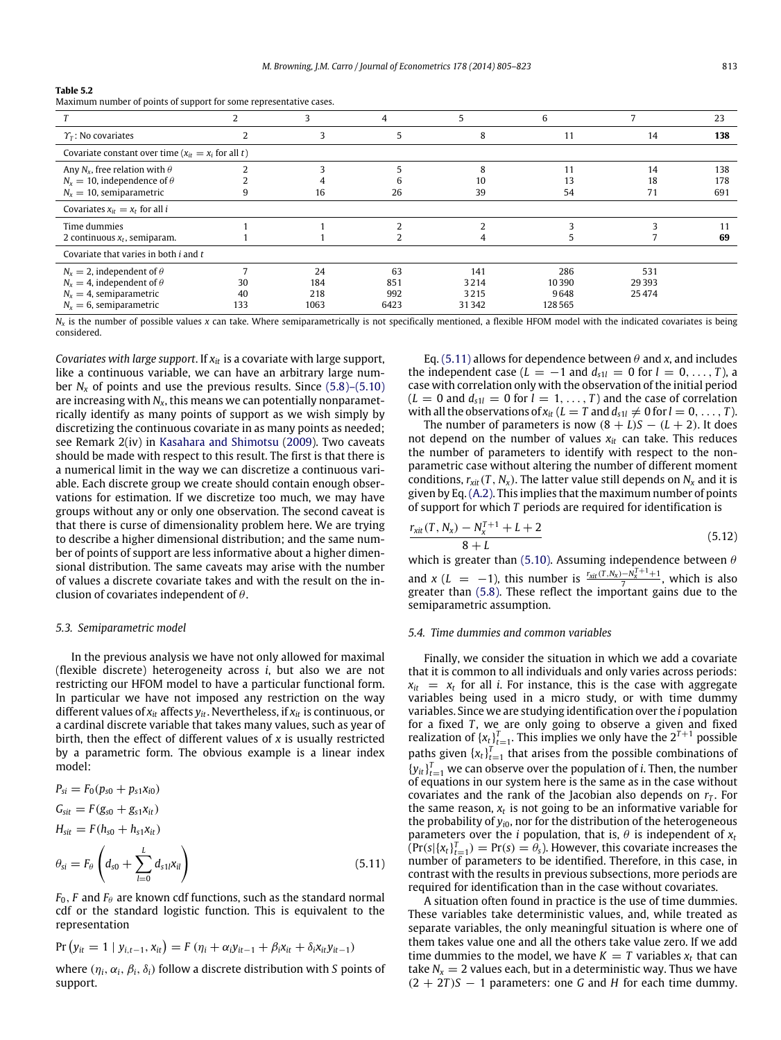<span id="page-8-0"></span>

| m<br>۱<br>п. |  |  |
|--------------|--|--|
|--------------|--|--|

Maximum number of points of support for some representative cases.

|                                                                                                                                        |                 |                          |                          |                              | 6                              |                       | 23                |
|----------------------------------------------------------------------------------------------------------------------------------------|-----------------|--------------------------|--------------------------|------------------------------|--------------------------------|-----------------------|-------------------|
| $\gamma$ : No covariates                                                                                                               |                 |                          |                          | 8                            | 11                             | 14                    | 138               |
| Covariate constant over time $(x_{it} = x_i \text{ for all } t)$                                                                       |                 |                          |                          |                              |                                |                       |                   |
| Any $N_x$ , free relation with $\theta$<br>$N_x = 10$ , independence of $\theta$<br>$N_x = 10$ , semiparametric                        |                 | 16                       | 26                       | 10<br>39                     | 11<br>13<br>54                 | 14<br>18<br>71        | 138<br>178<br>691 |
| Covariates $x_{it} = x_t$ for all <i>i</i>                                                                                             |                 |                          |                          |                              |                                |                       |                   |
| Time dummies<br>2 continuous $x_t$ , semiparam.                                                                                        |                 |                          |                          |                              |                                |                       | 11<br>69          |
| Covariate that varies in both <i>i</i> and <i>t</i>                                                                                    |                 |                          |                          |                              |                                |                       |                   |
| $N_x = 2$ , independent of $\theta$<br>$N_x = 4$ , independent of $\theta$<br>$N_x = 4$ , semiparametric<br>$N_x = 6$ , semiparametric | 30<br>40<br>133 | 24<br>184<br>218<br>1063 | 63<br>851<br>992<br>6423 | 141<br>3214<br>3215<br>31342 | 286<br>10390<br>9648<br>128565 | 531<br>29393<br>25474 |                   |

*Nx* is the number of possible values *x* can take. Where semiparametrically is not specifically mentioned, a flexible HFOM model with the indicated covariates is being considered.

*Covariates with large support*. If *xit* is a covariate with large support, like a continuous variable, we can have an arbitrary large number  $N_x$  of points and use the previous results. Since  $(5.8)$ – $(5.10)$ are increasing with  $N_{\mathsf{x}}$ , this means we can potentially nonparametrically identify as many points of support as we wish simply by discretizing the continuous covariate in as many points as needed; see Remark 2(iv) in [Kasahara](#page-18-13) [and](#page-18-13) [Shimotsu](#page-18-13) [\(2009\)](#page-18-13). Two caveats should be made with respect to this result. The first is that there is a numerical limit in the way we can discretize a continuous variable. Each discrete group we create should contain enough observations for estimation. If we discretize too much, we may have groups without any or only one observation. The second caveat is that there is curse of dimensionality problem here. We are trying to describe a higher dimensional distribution; and the same number of points of support are less informative about a higher dimensional distribution. The same caveats may arise with the number of values a discrete covariate takes and with the result on the inclusion of covariates independent of  $\theta$ .

#### *5.3. Semiparametric model*

In the previous analysis we have not only allowed for maximal (flexible discrete) heterogeneity across *i*, but also we are not restricting our HFOM model to have a particular functional form. In particular we have not imposed any restriction on the way different values of *xit* affects *yit*. Nevertheless, if *xit* is continuous, or a cardinal discrete variable that takes many values, such as year of birth, then the effect of different values of *x* is usually restricted by a parametric form. The obvious example is a linear index model:

$$
P_{si} = F_0 (p_{s0} + p_{s1} x_{i0})
$$
  
\n
$$
G_{sit} = F(g_{s0} + g_{s1} x_{it})
$$
  
\n
$$
H_{sit} = F(h_{s0} + h_{s1} x_{it})
$$
  
\n
$$
\theta_{si} = F_{\theta} \left( d_{s0} + \sum_{l=0}^{L} d_{s1l} x_{il} \right)
$$
\n(5.11)

 $F_0$ , *F* and  $F_\theta$  are known cdf functions, such as the standard normal cdf or the standard logistic function. This is equivalent to the representation

$$
Pr(y_{it} = 1 | y_{i,t-1}, x_{it}) = F(\eta_i + \alpha_i y_{it-1} + \beta_i x_{it} + \delta_i x_{it} y_{it-1})
$$

where  $(\eta_i, \alpha_i, \beta_i, \delta_i)$  follow a discrete distribution with *S* points of support.

Eq. [\(5.11\)](#page-8-1) allows for dependence between  $\theta$  and *x*, and includes the independent case ( $L = -1$  and  $d_{s1l} = 0$  for  $l = 0, \ldots, T$ ), a case with correlation only with the observation of the initial period  $(L = 0$  and  $d_{s1l} = 0$  for  $l = 1, ..., T$  and the case of correlation with all the observations of  $x_{it}$  ( $L = T$  and  $d_{s1l} \neq 0$  for  $l = 0, \ldots, T$ ).

The number of parameters is now  $(8 + L)S - (L + 2)$ . It does not depend on the number of values  $x_{it}$  can take. This reduces the number of parameters to identify with respect to the nonparametric case without altering the number of different moment conditions,  $r_{\text{xit}}(T, N_{\text{x}})$ . The latter value still depends on  $N_{\text{x}}$  and it is given by Eq.[\(A.2\).](#page-13-2) This implies that the maximum number of points of support for which *T* periods are required for identification is

$$
\frac{r_{xit}(T, N_x) - N_x^{T+1} + L + 2}{8 + L}
$$
\n(5.12)

which is greater than [\(5.10\).](#page-7-3) Assuming independence between  $\theta$ and *x* (*L* = −1), this number is  $\frac{r_{xit}(T, N_x) - N_x^{T+1} + 1}{7}$ , which is also greater than  $(5.8)$ . These reflect the important gains due to the semiparametric assumption.

#### *5.4. Time dummies and common variables*

Finally, we consider the situation in which we add a covariate that it is common to all individuals and only varies across periods:  $x_{it}$  =  $x_t$  for all *i*. For instance, this is the case with aggregate variables being used in a micro study, or with time dummy variables. Since we are studying identification over the *i* population for a fixed *T*, we are only going to observe a given and fixed realization of  $\{x_t\}_{t=1}^T$ . This implies we only have the  $2^{T+1}$  possible paths given  $\{x_t\}_{t=1}^T$  that arises from the possible combinations of  ${y_{it}}_{t=1}^T$  we can observe over the population of *i*. Then, the number of equations in our system here is the same as in the case without covariates and the rank of the Jacobian also depends on  $r<sub>T</sub>$ . For the same reason,  $x_t$  is not going to be an informative variable for the probability of  $y_{i0}$ , nor for the distribution of the heterogeneous parameters over the *i* population, that is,  $\theta$  is independent of  $x_t$  $(\Pr(s | \{x_t\}_{t=1}^T) = \Pr(s) = \theta_s)$ . However, this covariate increases the number of parameters to be identified. Therefore, in this case, in contrast with the results in previous subsections, more periods are required for identification than in the case without covariates.

<span id="page-8-1"></span>A situation often found in practice is the use of time dummies. These variables take deterministic values, and, while treated as separate variables, the only meaningful situation is where one of them takes value one and all the others take value zero. If we add time dummies to the model, we have  $K = T$  variables  $x_t$  that can take  $N_x = 2$  values each, but in a deterministic way. Thus we have  $(2 + 2T)S - 1$  parameters: one *G* and *H* for each time dummy.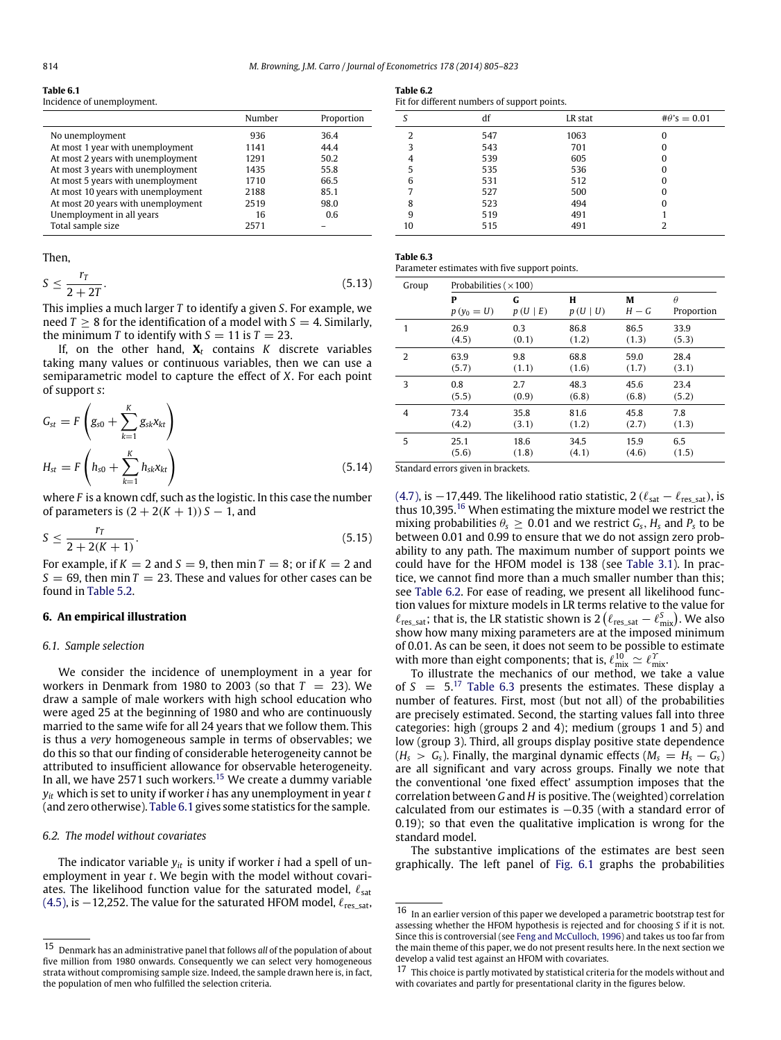<span id="page-9-2"></span>**Table 6.1**

Incidence of unemployment.

|                                    | Number | Proportion |
|------------------------------------|--------|------------|
| No unemployment                    | 936    | 36.4       |
| At most 1 year with unemployment   | 1141   | 44.4       |
| At most 2 years with unemployment  | 1291   | 50.2       |
| At most 3 years with unemployment  | 1435   | 55.8       |
| At most 5 years with unemployment  | 1710   | 66.5       |
| At most 10 years with unemployment | 2188   | 85.1       |
| At most 20 years with unemployment | 2519   | 98.0       |
| Unemployment in all years          | 16     | 0.6        |
| Total sample size                  | 2571   |            |

Then,

$$
S \le \frac{r_T}{2 + 2T}.\tag{5.13}
$$

This implies a much larger *T* to identify a given *S*. For example, we need  $T > 8$  for the identification of a model with  $S = 4$ . Similarly, the minimum *T* to identify with  $S = 11$  is  $T = 23$ .

If, on the other hand,  $X_t$  contains  $K$  discrete variables taking many values or continuous variables, then we can use a semiparametric model to capture the effect of *X*. For each point of support *s*:

$$
G_{st} = F\left(g_{s0} + \sum_{k=1}^{K} g_{sk} x_{kt}\right)
$$
  

$$
H_{st} = F\left(h_{s0} + \sum_{k=1}^{K} h_{sk} x_{kt}\right)
$$
 (5.14)

where *F* is a known cdf, such as the logistic. In this case the number of parameters is  $(2 + 2(K + 1))$  *S* − 1, and

$$
S \le \frac{r_T}{2 + 2(K + 1)}.\tag{5.15}
$$

For example, if  $K = 2$  and  $S = 9$ , then min  $T = 8$ ; or if  $K = 2$  and  $S = 69$ , then min  $T = 23$ . These and values for other cases can be found in [Table 5.2.](#page-8-0)

#### <span id="page-9-0"></span>**6. An empirical illustration**

#### *6.1. Sample selection*

We consider the incidence of unemployment in a year for workers in Denmark from 1980 to 2003 (so that  $T = 23$ ). We draw a sample of male workers with high school education who were aged 25 at the beginning of 1980 and who are continuously married to the same wife for all 24 years that we follow them. This is thus a *very* homogeneous sample in terms of observables; we do this so that our finding of considerable heterogeneity cannot be attributed to insufficient allowance for observable heterogeneity. In all, we have 2571 such workers.<sup>[15](#page-9-1)</sup> We create a dummy variable *yit* which is set to unity if worker *i* has any unemployment in year *t* (and zero otherwise). [Table 6.1](#page-9-2) gives some statistics for the sample.

## *6.2. The model without covariates*

The indicator variable *yit* is unity if worker *i* had a spell of unemployment in year *t*. We begin with the model without covariates. The likelihood function value for the saturated model,  $\ell_{sat}$ [\(4.5\),](#page-6-3) is  $-12,252$ . The value for the saturated HFOM model,  $\ell_{\rm res}$  sat,

<span id="page-9-4"></span>

| lanie |  |
|-------|--|
|       |  |

<span id="page-9-6"></span>**Table 6.3**

|  |  |  |  |  |  |  | Fit for different numbers of support points. |  |
|--|--|--|--|--|--|--|----------------------------------------------|--|
|--|--|--|--|--|--|--|----------------------------------------------|--|

|               | df  | LR stat | $\#\theta$ 's = 0.01 |
|---------------|-----|---------|----------------------|
| $\mathcal{P}$ | 547 | 1063    | $\Omega$             |
| 3             | 543 | 701     | 0                    |
| 4             | 539 | 605     | O                    |
| 5             | 535 | 536     | 0                    |
| 6             | 531 | 512     | 0                    |
|               | 527 | 500     | O                    |
| 8             | 523 | 494     | 0                    |
| 9             | 519 | 491     |                      |
| 10            | 515 | 491     |                      |

| Parameter estimates with five support points. |              |                               |          |       |            |  |  |  |  |  |
|-----------------------------------------------|--------------|-------------------------------|----------|-------|------------|--|--|--|--|--|
| Group                                         |              | Probabilities ( $\times$ 100) |          |       |            |  |  |  |  |  |
|                                               | P            | G                             | Н        | М     | $\theta$   |  |  |  |  |  |
|                                               | $p(y_0 = U)$ | p(U   E)                      | p(U   U) | $H-G$ | Proportion |  |  |  |  |  |
| 1                                             | 26.9         | 0.3                           | 86.8     | 86.5  | 33.9       |  |  |  |  |  |
|                                               | (4.5)        | (0.1)                         | (1.2)    | (1.3) | (5.3)      |  |  |  |  |  |
| 2                                             | 63.9         | 9.8                           | 68.8     | 59.0  | 28.4       |  |  |  |  |  |
|                                               | (5.7)        | (1.1)                         | (1.6)    | (1.7) | (3.1)      |  |  |  |  |  |
| 3                                             | 0.8          | 2.7                           | 48.3     | 45.6  | 23.4       |  |  |  |  |  |
|                                               | (5.5)        | (0.9)                         | (6.8)    | (6.8) | (5.2)      |  |  |  |  |  |
| $\overline{4}$                                | 73.4         | 35.8                          | 81.6     | 45.8  | 7.8        |  |  |  |  |  |
|                                               | (4.2)        | (3.1)                         | (1.2)    | (2.7) | (1.3)      |  |  |  |  |  |
| 5                                             | 25.1         | 18.6                          | 34.5     | 15.9  | 6.5        |  |  |  |  |  |
|                                               | (5.6)        | (1.8)                         | (4.1)    | (4.6) | (1.5)      |  |  |  |  |  |

<span id="page-9-7"></span>Standard errors given in brackets.

[\(4.7\),](#page-6-4) is −17,449. The likelihood ratio statistic, 2 ( $\ell_{sat} - \ell_{res\_sat}$ ), is thus 10,395.<sup>[16](#page-9-3)</sup> When estimating the mixture model we restrict the mixing probabilities  $\theta_s \geq 0.01$  and we restrict  $G_s$ ,  $H_s$  and  $P_s$  to be between 0.01 and 0.99 to ensure that we do not assign zero probability to any path. The maximum number of support points we could have for the HFOM model is 138 (see [Table 3.1\)](#page-4-4). In practice, we cannot find more than a much smaller number than this; see [Table 6.2.](#page-9-4) For ease of reading, we present all likelihood function values for mixture models in LR terms relative to the value for  $\ell_{res\_sat}$ ; that is, the LR statistic shown is 2  $(\ell_{res\_sat} - \ell_{mix}^S)$ . We also show how many mixing parameters are at the imposed minimum of 0.01. As can be seen, it does not seem to be possible to estimate with more than eight components; that is,  $\ell_{\text{mix}}^{10} \simeq \ell_{\text{mix}}^{\Upsilon}$ 

To illustrate the mechanics of our method, we take a value of  $S = 5$ .<sup>[17](#page-9-5)</sup> [Table 6.3](#page-9-6) presents the estimates. These display a number of features. First, most (but not all) of the probabilities are precisely estimated. Second, the starting values fall into three categories: high (groups 2 and 4); medium (groups 1 and 5) and low (group 3). Third, all groups display positive state dependence  $(H_s > G_s)$ . Finally, the marginal dynamic effects  $(M_s = H_s - G_s)$ are all significant and vary across groups. Finally we note that the conventional 'one fixed effect' assumption imposes that the correlation between *G* and *H* is positive. The (weighted) correlation calculated from our estimates is −0.35 (with a standard error of 0.19); so that even the qualitative implication is wrong for the standard model.

The substantive implications of the estimates are best seen graphically. The left panel of [Fig. 6.1](#page-10-0) graphs the probabilities

<span id="page-9-1"></span><sup>15</sup> Denmark has an administrative panel that follows *all* of the population of about five million from 1980 onwards. Consequently we can select very homogeneous strata without compromising sample size. Indeed, the sample drawn here is, in fact, the population of men who fulfilled the selection criteria.

<span id="page-9-3"></span> $^{16}\,$  In an earlier version of this paper we developed a parametric bootstrap test for assessing whether the HFOM hypothesis is rejected and for choosing *S* if it is not. Since this is controversial (see [Feng](#page-18-26) [and](#page-18-26) [McCulloch,](#page-18-26) [1996\)](#page-18-26) and takes us too far from the main theme of this paper, we do not present results here. In the next section we develop a valid test against an HFOM with covariates.

<span id="page-9-5"></span><sup>17</sup> This choice is partly motivated by statistical criteria for the models without and with covariates and partly for presentational clarity in the figures below.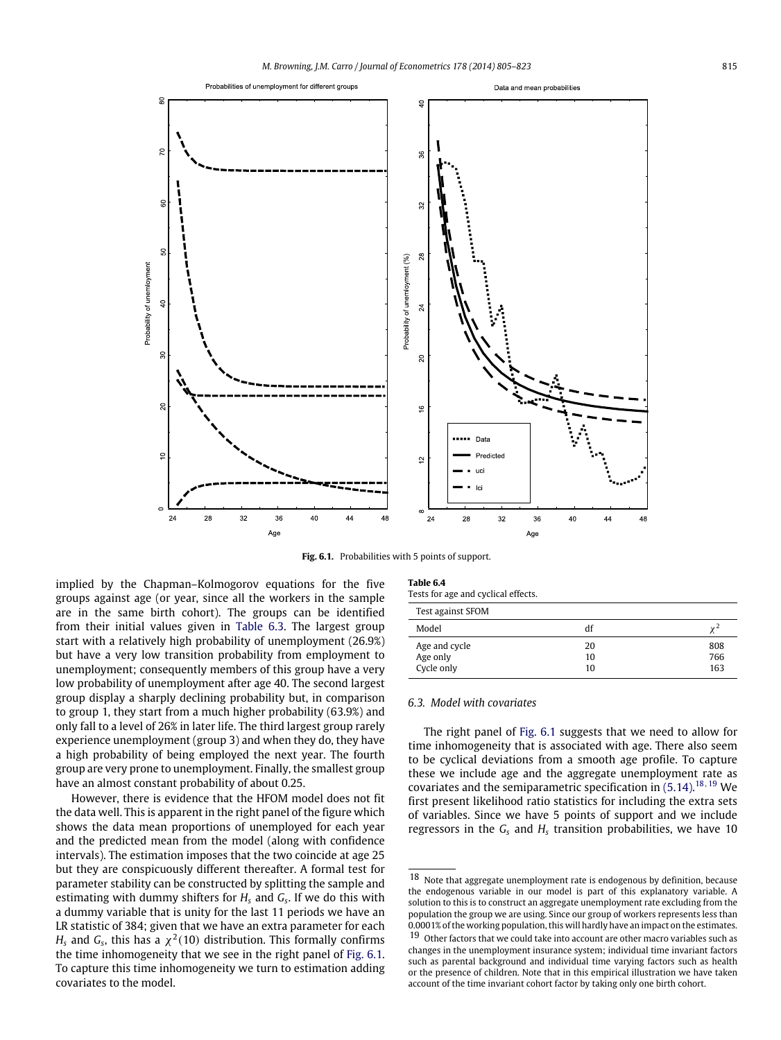<span id="page-10-0"></span>

**Fig. 6.1.** Probabilities with 5 points of support.

<span id="page-10-3"></span>**Table 6.4**

implied by the Chapman–Kolmogorov equations for the five groups against age (or year, since all the workers in the sample are in the same birth cohort). The groups can be identified from their initial values given in [Table 6.3.](#page-9-6) The largest group start with a relatively high probability of unemployment (26.9%) but have a very low transition probability from employment to unemployment; consequently members of this group have a very low probability of unemployment after age 40. The second largest group display a sharply declining probability but, in comparison to group 1, they start from a much higher probability (63.9%) and only fall to a level of 26% in later life. The third largest group rarely experience unemployment (group 3) and when they do, they have a high probability of being employed the next year. The fourth group are very prone to unemployment. Finally, the smallest group have an almost constant probability of about 0.25.

However, there is evidence that the HFOM model does not fit the data well. This is apparent in the right panel of the figure which shows the data mean proportions of unemployed for each year and the predicted mean from the model (along with confidence intervals). The estimation imposes that the two coincide at age 25 but they are conspicuously different thereafter. A formal test for parameter stability can be constructed by splitting the sample and estimating with dummy shifters for *H<sup>s</sup>* and *G<sup>s</sup>* . If we do this with a dummy variable that is unity for the last 11 periods we have an LR statistic of 384; given that we have an extra parameter for each  $H_{\rm s}$  and  $G_{\rm s}$ , this has a  $\chi^2(10)$  distribution. This formally confirms the time inhomogeneity that we see in the right panel of [Fig. 6.1.](#page-10-0) To capture this time inhomogeneity we turn to estimation adding covariates to the model.

| 14DIC 0.4                           |  |  |
|-------------------------------------|--|--|
| Tests for age and cyclical effects. |  |  |

| Test against SFOM |    |                |
|-------------------|----|----------------|
| Model             | đt | ν <sup>2</sup> |
| Age and cycle     | 20 | 808            |
| Age only          | 10 | 766            |
| Cycle only        | 10 | 163            |

#### *6.3. Model with covariates*

The right panel of [Fig. 6.1](#page-10-0) suggests that we need to allow for time inhomogeneity that is associated with age. There also seem to be cyclical deviations from a smooth age profile. To capture these we include age and the aggregate unemployment rate as covariates and the semiparametric specification in  $(5.14)$ .<sup>[18](#page-10-1), [19](#page-10-2)</sup> We first present likelihood ratio statistics for including the extra sets of variables. Since we have 5 points of support and we include regressors in the *G<sup>s</sup>* and *H<sup>s</sup>* transition probabilities, we have 10

<span id="page-10-1"></span>Note that aggregate unemployment rate is endogenous by definition, because the endogenous variable in our model is part of this explanatory variable. A solution to this is to construct an aggregate unemployment rate excluding from the population the group we are using. Since our group of workers represents less than 0.0001% of the working population, this will hardly have an impact on the estimates. <sup>19</sup> Other factors that we could take into account are other macro variables such as

<span id="page-10-2"></span>changes in the unemployment insurance system; individual time invariant factors such as parental background and individual time varying factors such as health or the presence of children. Note that in this empirical illustration we have taken account of the time invariant cohort factor by taking only one birth cohort.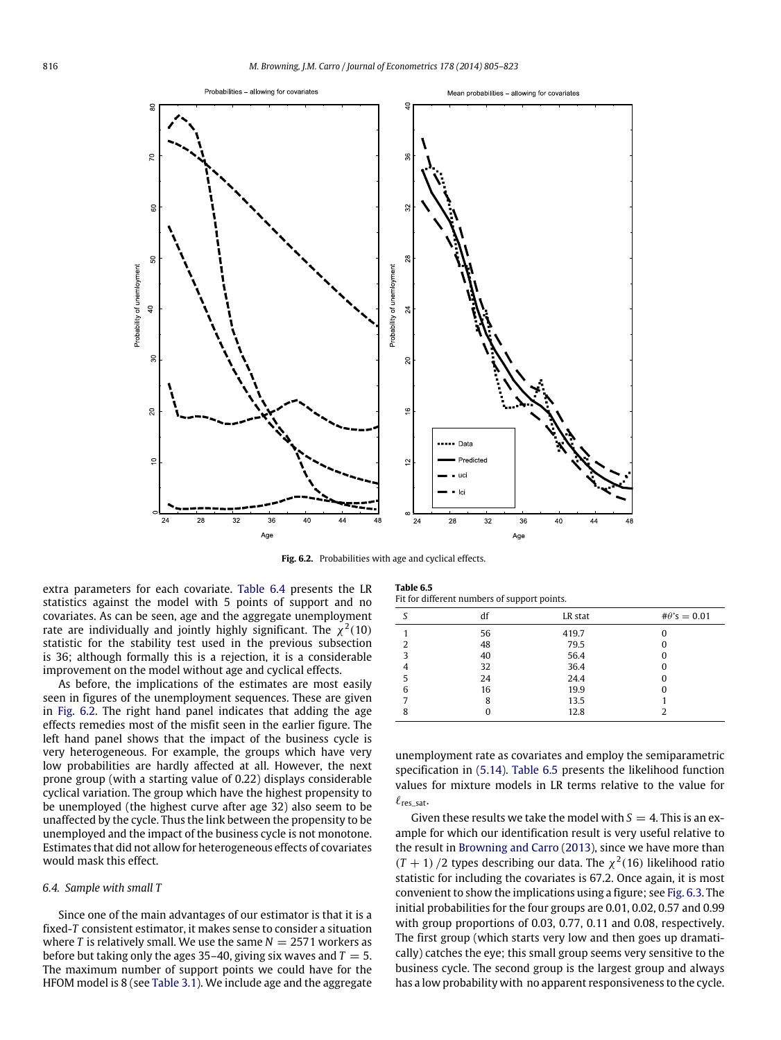<span id="page-11-0"></span>

**Fig. 6.2.** Probabilities with age and cyclical effects.

**Table 6.5**

extra parameters for each covariate. [Table 6.4](#page-10-3) presents the LR statistics against the model with 5 points of support and no covariates. As can be seen, age and the aggregate unemployment rate are individually and jointly highly significant. The  $\chi^2(10)$ statistic for the stability test used in the previous subsection is 36; although formally this is a rejection, it is a considerable improvement on the model without age and cyclical effects.

As before, the implications of the estimates are most easily seen in figures of the unemployment sequences. These are given in [Fig. 6.2.](#page-11-0) The right hand panel indicates that adding the age effects remedies most of the misfit seen in the earlier figure. The left hand panel shows that the impact of the business cycle is very heterogeneous. For example, the groups which have very low probabilities are hardly affected at all. However, the next prone group (with a starting value of 0.22) displays considerable cyclical variation. The group which have the highest propensity to be unemployed (the highest curve after age 32) also seem to be unaffected by the cycle. Thus the link between the propensity to be unemployed and the impact of the business cycle is not monotone. Estimates that did not allow for heterogeneous effects of covariates would mask this effect.

#### *6.4. Sample with small T*

Since one of the main advantages of our estimator is that it is a fixed-*T* consistent estimator, it makes sense to consider a situation where *T* is relatively small. We use the same  $N = 2571$  workers as before but taking only the ages  $35-40$ , giving six waves and  $T = 5$ . The maximum number of support points we could have for the HFOM model is 8 (see [Table 3.1\)](#page-4-4). We include age and the aggregate

<span id="page-11-1"></span>

| THRIP AIR                                    |  |  |
|----------------------------------------------|--|--|
| Fit for different numbers of support points. |  |  |

|   | df | LR stat | $\#\theta$ 's = 0.01 |
|---|----|---------|----------------------|
|   | 56 | 419.7   |                      |
| っ | 48 | 79.5    |                      |
| 3 | 40 | 56.4    |                      |
|   | 32 | 36.4    |                      |
| 5 | 24 | 24.4    |                      |
| 6 | 16 | 19.9    |                      |
| ⇁ | 8  | 13.5    |                      |
| 8 |    | 12.8    |                      |

unemployment rate as covariates and employ the semiparametric specification in [\(5.14\).](#page-9-7) [Table 6.5](#page-11-1) presents the likelihood function values for mixture models in LR terms relative to the value for  $\ell_{\text{res sat}}$ .

Given these results we take the model with  $S = 4$ . This is an example for which our identification result is very useful relative to the result in [Browning](#page-18-18) [and](#page-18-18) [Carro](#page-18-18) [\(2013\)](#page-18-18), since we have more than  $(T + 1)$  /2 types describing our data. The  $\chi^2(16)$  likelihood ratio statistic for including the covariates is 67.2. Once again, it is most convenient to show the implications using a figure; see [Fig. 6.3.](#page-12-3) The initial probabilities for the four groups are 0.01, 0.02, 0.57 and 0.99 with group proportions of 0.03, 0.77, 0.11 and 0.08, respectively. The first group (which starts very low and then goes up dramatically) catches the eye; this small group seems very sensitive to the business cycle. The second group is the largest group and always has a low probability with no apparent responsiveness to the cycle.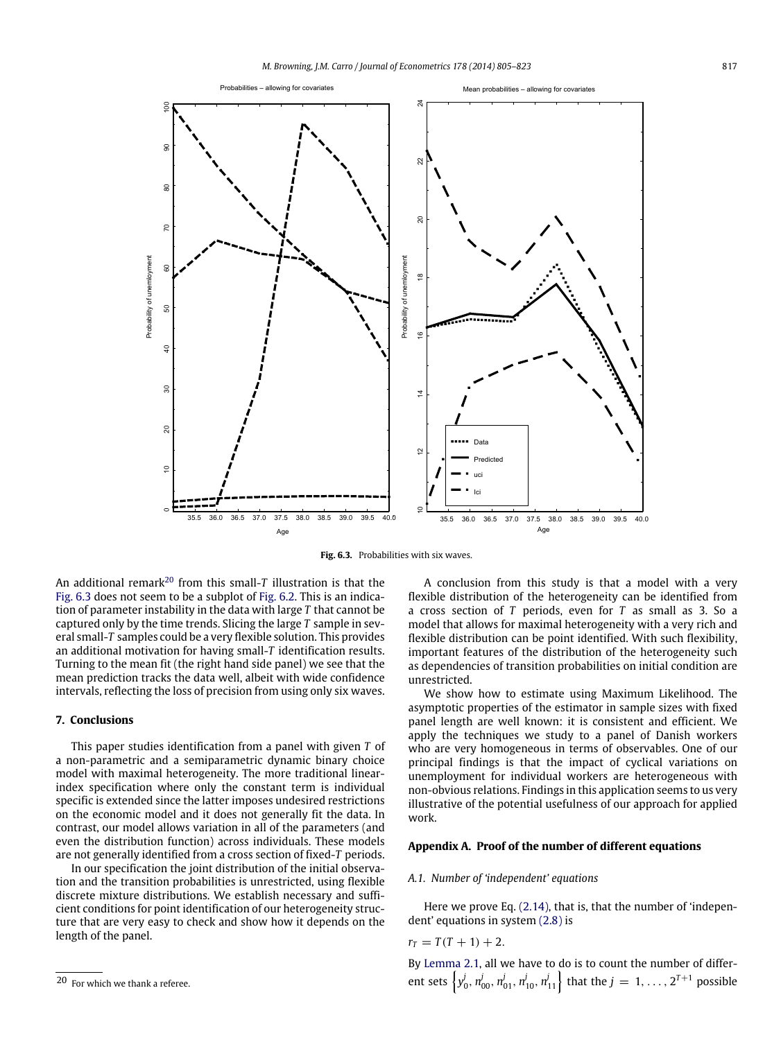<span id="page-12-3"></span>

Fig. 6.3. Probabilities with six waves.

An additional remark[20](#page-12-4) from this small-*T* illustration is that the [Fig. 6.3](#page-12-3) does not seem to be a subplot of [Fig. 6.2.](#page-11-0) This is an indication of parameter instability in the data with large *T* that cannot be captured only by the time trends. Slicing the large *T* sample in several small-*T* samples could be a very flexible solution. This provides an additional motivation for having small-*T* identification results. Turning to the mean fit (the right hand side panel) we see that the mean prediction tracks the data well, albeit with wide confidence intervals, reflecting the loss of precision from using only six waves.

#### <span id="page-12-0"></span>**7. Conclusions**

This paper studies identification from a panel with given *T* of a non-parametric and a semiparametric dynamic binary choice model with maximal heterogeneity. The more traditional linearindex specification where only the constant term is individual specific is extended since the latter imposes undesired restrictions on the economic model and it does not generally fit the data. In contrast, our model allows variation in all of the parameters (and even the distribution function) across individuals. These models are not generally identified from a cross section of fixed-*T* periods.

In our specification the joint distribution of the initial observation and the transition probabilities is unrestricted, using flexible discrete mixture distributions. We establish necessary and sufficient conditions for point identification of our heterogeneity structure that are very easy to check and show how it depends on the length of the panel.

A conclusion from this study is that a model with a very flexible distribution of the heterogeneity can be identified from a cross section of *T* periods, even for *T* as small as 3. So a model that allows for maximal heterogeneity with a very rich and flexible distribution can be point identified. With such flexibility, important features of the distribution of the heterogeneity such as dependencies of transition probabilities on initial condition are unrestricted.

We show how to estimate using Maximum Likelihood. The asymptotic properties of the estimator in sample sizes with fixed panel length are well known: it is consistent and efficient. We apply the techniques we study to a panel of Danish workers who are very homogeneous in terms of observables. One of our principal findings is that the impact of cyclical variations on unemployment for individual workers are heterogeneous with non-obvious relations. Findings in this application seems to us very illustrative of the potential usefulness of our approach for applied work.

## <span id="page-12-2"></span>**Appendix A. Proof of the number of different equations**

## <span id="page-12-1"></span>*A.1. Number of 'independent' equations*

Here we prove Eq. [\(2.14\),](#page-3-6) that is, that the number of 'independent' equations in system [\(2.8\)](#page-3-2) is

$$
r_T = T(T+1) + 2.
$$

By [Lemma 2.1,](#page-3-7) all we have to do is to count the number of different sets  $\left\{ y_0^j, \, n_{00}^j, \, n_{01}^j, \, n_{10}^j, \, n_{11}^j \right\}$  that the  $j = 1, \ldots, 2^{T+1}$  possible

<span id="page-12-4"></span><sup>20</sup> For which we thank a referee.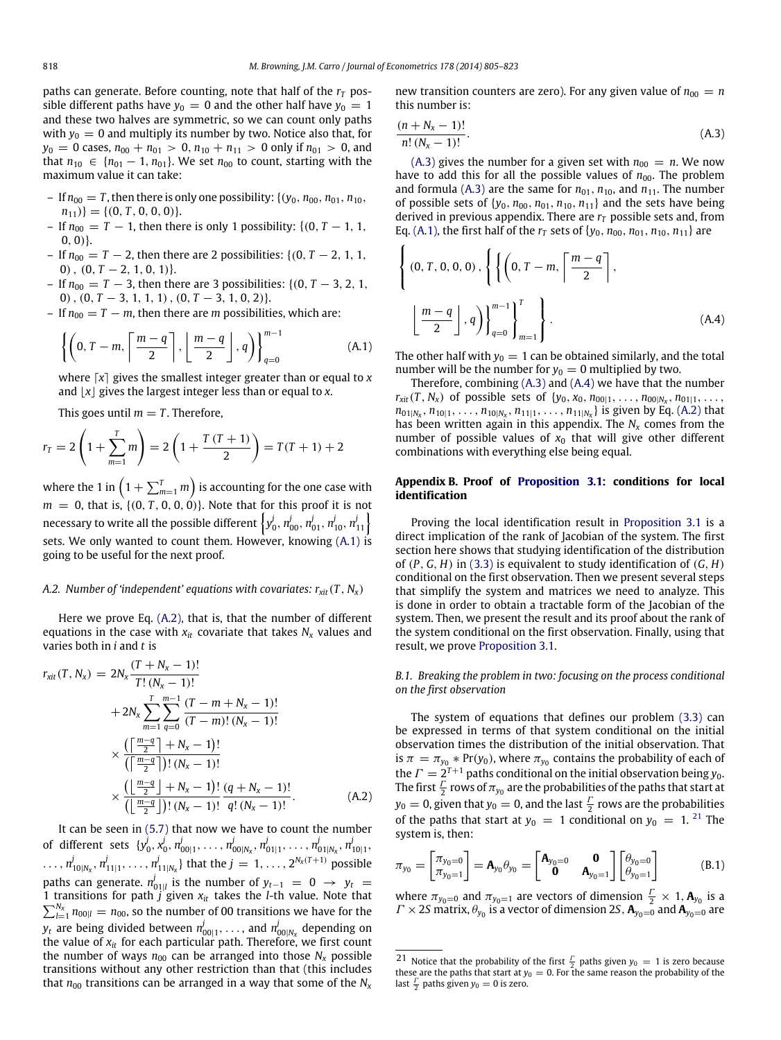paths can generate. Before counting, note that half of the  $r<sub>T</sub>$  possible different paths have  $y_0 = 0$  and the other half have  $y_0 = 1$ and these two halves are symmetric, so we can count only paths with  $y_0 = 0$  and multiply its number by two. Notice also that, for  $y_0 = 0$  cases,  $n_{00} + n_{01} > 0$ ,  $n_{10} + n_{11} > 0$  only if  $n_{01} > 0$ , and that  $n_{10}$  ∈ { $n_{01}$  − 1,  $n_{01}$ }. We set  $n_{00}$  to count, starting with the maximum value it can take:

- $-$  If  $n_{00} = T$ , then there is only one possibility: { $(y_0, n_{00}, n_{01}, n_{10},$ }  $n_{11})$ } = {(0, *T*, 0, 0, 0)}.
- If *n*<sup>00</sup> = *T* − 1, then there is only 1 possibility: {(0, *T* − 1, 1,  $(0, 0)$
- If *n*<sup>00</sup> = *T* − 2, then there are 2 possibilities: {(0, *T* − 2, 1, 1, 0),  $(0, T - 2, 1, 0, 1)$ .
- If *n*<sup>00</sup> = *T* − 3, then there are 3 possibilities: {(0, *T* − 3, 2, 1, 0),(0, *T* − 3, 1, 1, 1),(0, *T* − 3, 1, 0, 2)}.
- If  $n_{00} = T m$ , then there are *m* possibilities, which are:

$$
\left\{ \left(0, T-m, \left\lceil \frac{m-q}{2} \right\rceil, \left\lfloor \frac{m-q}{2} \right\rfloor, q \right) \right\}_{q=0}^{m-1}
$$
 (A.1)

where  $\lceil x \rceil$  gives the smallest integer greater than or equal to *x* and  $\lfloor x \rfloor$  gives the largest integer less than or equal to *x*.

This goes until  $m = T$ . Therefore,

$$
r_T = 2\left(1 + \sum_{m=1}^T m\right) = 2\left(1 + \frac{T(T+1)}{2}\right) = T(T+1) + 2
$$

where the 1 in  $\left(1+\sum_{m=1}^T m\right)$  is accounting for the one case with  $m = 0$ , that is,  $\{(0, T, 0, 0, 0)\}$ . Note that for this proof it is not necessary to write all the possible different  $\left\{ y_0^j, n_{00}^j, n_{01}^j, n_{10}^j, n_{11}^j \right\}$ sets. We only wanted to count them. However, knowing [\(A.1\)](#page-13-3) is going to be useful for the next proof.

## *A.2. Number of 'independent' equations with covariates:*  $r_{\text{xit}}(T, N_{\text{x}})$

Here we prove Eq. [\(A.2\),](#page-13-2) that is, that the number of different equations in the case with  $x_{it}$  covariate that takes  $N_x$  values and varies both in *i* and *t* is

$$
r_{xit}(T, N_x) = 2N_x \frac{(T + N_x - 1)!}{T! (N_x - 1)!} + 2N_x \sum_{m=1}^{T} \sum_{q=0}^{m-1} \frac{(T - m + N_x - 1)!}{(T - m)! (N_x - 1)!} \times \frac{\left(\left[\frac{m-q}{2}\right] + N_x - 1\right)!}{\left(\left[\frac{m-q}{2}\right] + (N_x - 1)\right)!} \times \frac{\left(\left[\frac{m-q}{2}\right] + N_x - 1\right)!}{\left(\left[\frac{m-q}{2}\right] + (N_x - 1)\right!} \frac{(q + N_x - 1)!}{q! (N_x - 1)!}.
$$
 (A.2)

It can be seen in [\(5.7\)](#page-7-4) that now we have to count the number of different sets  $\{y_0^j, x_0^j, n_{00|1}^j, \ldots, n_{00|N_x}^j, n_{01|1}^j, \ldots, n_{01|N_x}^j, n_{10|1}^j, \ldots\}$  $\ldots$  ,  $n_{10|N_x}^j$ ,  $n_{11|1}^j$ ,  $\ldots$  ,  $n_{11|N_x}^j\}$  that the  $j = 1, \ldots, 2^{N_x(T+1)}$  possible paths can generate.  $n_{01|l}^j$  is the number of  $y_{t-1} = 0 \rightarrow y_t = 0$ 1 transitions for path *j* given *xit* takes the *l*-th value. Note that  $\sum_{l=1}^{N_{\chi}} n_{00|l} = n_{00}$ , so the number of 00 transitions we have for the  $y_t$  are being divided between  $n_{00|1}^j, \ldots,$  and  $n_{00|N_\chi}^j$  depending on the value of  $x_{it}$  for each particular path. Therefore, we first count the number of ways  $n_{00}$  can be arranged into those  $N_x$  possible transitions without any other restriction than that (this includes that  $n_{00}$  transitions can be arranged in a way that some of the  $N_x$ 

new transition counters are zero). For any given value of  $n_{00} = n$ this number is:

<span id="page-13-4"></span>
$$
\frac{(n+N_x-1)!}{n!\,(N_x-1)!}.
$$
\n(A.3)

[\(A.3\)](#page-13-4) gives the number for a given set with  $n_{00} = n$ . We now have to add this for all the possible values of  $n_{00}$ . The problem and formula [\(A.3\)](#page-13-4) are the same for  $n_{01}$ ,  $n_{10}$ , and  $n_{11}$ . The number of possible sets of  $\{y_0, n_{00}, n_{01}, n_{10}, n_{11}\}$  and the sets have being derived in previous appendix. There are  $r<sub>T</sub>$  possible sets and, from Eq. [\(A.1\),](#page-13-3) the first half of the  $r_T$  sets of {*y*<sub>0</sub>,  $n_{00}$ ,  $n_{01}$ ,  $n_{10}$ ,  $n_{11}$ } are

<span id="page-13-5"></span>
$$
\left\{ (0, T, 0, 0, 0), \left\{ \left\{ \left( 0, T - m, \left\lceil \frac{m - q}{2} \right\rceil \right\}, \left( \frac{m - q}{2} \right) \right\}, \left( \frac{m - q}{2} \right) , q \right) \right\}_{q = 0}^{m - 1} \right\}.
$$
\n(A.4)

<span id="page-13-3"></span>The other half with  $y_0 = 1$  can be obtained similarly, and the total number will be the number for  $y_0 = 0$  multiplied by two.

Therefore, combining [\(A.3\)](#page-13-4) and [\(A.4\)](#page-13-5) we have that the number  $r_{\text{xit}}(T, N_{\text{x}})$  of possible sets of {*y*<sub>0</sub>, *x*<sub>0</sub>, *n*<sub>00|1</sub>, . . . , *n*<sub>00|*N*<sub>*x*</sub></sub>, *n*<sub>01|1</sub>, . . . ,  $n_{01|N_x}, n_{10|1}, \ldots, n_{10|N_x}, n_{11|1}, \ldots, n_{11|N_x}$  is given by Eq. [\(A.2\)](#page-13-2) that has been written again in this appendix. The *N<sup>x</sup>* comes from the number of possible values of  $x_0$  that will give other different combinations with everything else being equal.

## <span id="page-13-1"></span>**Appendix B. Proof of [Proposition 3.1:](#page-4-9) conditions for local identification**

Proving the local identification result in [Proposition 3.1](#page-4-9) is a direct implication of the rank of Jacobian of the system. The first section here shows that studying identification of the distribution of (*P*, *G*, *H*) in [\(3.3\)](#page-4-2) is equivalent to study identification of (*G*, *H*) conditional on the first observation. Then we present several steps that simplify the system and matrices we need to analyze. This is done in order to obtain a tractable form of the Jacobian of the system. Then, we present the result and its proof about the rank of the system conditional on the first observation. Finally, using that result, we prove [Proposition 3.1.](#page-4-9)

## <span id="page-13-0"></span>*B.1. Breaking the problem in two: focusing on the process conditional on the first observation*

<span id="page-13-2"></span>The system of equations that defines our problem [\(3.3\)](#page-4-2) can be expressed in terms of that system conditional on the initial observation times the distribution of the initial observation. That is  $\pi = \pi_{y_0} * Pr(y_0)$ , where  $\pi_{y_0}$  contains the probability of each of the  $\Gamma = 2^{T+1}$  paths conditional on the initial observation being  $y_0$ . The first  $\frac{\varGamma}{2}$  rows of  $\pi_{y_0}$  are the probabilities of the paths that start at  $y_0 = 0$ , given that  $y_0 = 0$ , and the last  $\frac{\Gamma}{2}$  rows are the probabilities of the paths that start at  $y_0 = 1$  conditional on  $y_0 = 1$ . <sup>[21](#page-13-6)</sup> The system is, then:

<span id="page-13-7"></span>
$$
\pi_{y_0} = \begin{bmatrix} \pi_{y_0=0} \\ \pi_{y_0=1} \end{bmatrix} = A_{y_0} \theta_{y_0} = \begin{bmatrix} A_{y_0=0} & \mathbf{0} \\ \mathbf{0} & A_{y_0=1} \end{bmatrix} \begin{bmatrix} \theta_{y_0=0} \\ \theta_{y_0=1} \end{bmatrix}
$$
 (B.1)

where  $\pi_{y_0=0}$  and  $\pi_{y_0=1}$  are vectors of dimension  $\frac{\Gamma}{2} \times 1$ ,  $\mathbf{A}_{y_0}$  is a  $\Gamma \times 2S$  matrix,  $\theta_{y_0}$  is a vector of dimension 2*S*,  $\mathbf{A}_{y_0=0}$  and  $\mathbf{A}_{y_0=0}$  are

<span id="page-13-6"></span><sup>&</sup>lt;sup>21</sup> Notice that the probability of the first  $\frac{\Gamma}{2}$  paths given  $y_0 = 1$  is zero because these are the paths that start at  $y_0 = 0$ . For the same reason the probability of the last  $\frac{\Gamma}{2}$  paths given  $y_0 = 0$  is zero.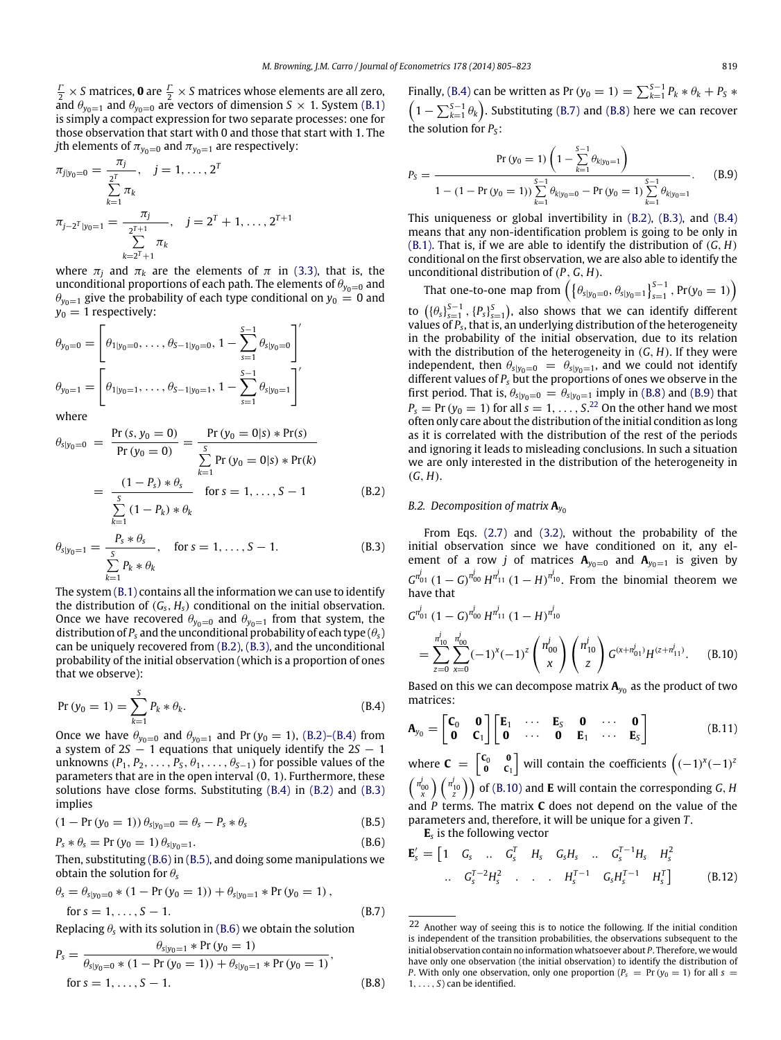$\frac{\Gamma}{2} \times S$  matrices, **0** are  $\frac{\Gamma}{2} \times S$  matrices whose elements are all zero, and  $\theta_{\gamma_0=1}$  and  $\theta_{\gamma_0=0}$  are vectors of dimension  $S \times 1$ . System [\(B.1\)](#page-13-7) is simply a compact expression for two separate processes: one for those observation that start with 0 and those that start with 1. The *j*th elements of  $\pi_{y_0=0}$  and  $\pi_{y_0=1}$  are respectively:

$$
\pi_{j|y_0=0} = \frac{\pi_j}{\sum\limits_{k=1}^{2^T} \pi_k} , \quad j = 1, ..., 2^T
$$
\n
$$
\pi_{j-2^T|y_0=1} = \frac{\pi_j}{\sum\limits_{k=2^T+1}^{2^{T+1}} \pi_k} , \quad j = 2^T + 1, ..., 2^{T+1}
$$

where  $\pi_j$  and  $\pi_k$  are the elements of  $\pi$  in [\(3.3\),](#page-4-2) that is, the unconditional proportions of each path. The elements of  $\theta_{y_0=0}$  and  $\theta_{y_0=1}$  give the probability of each type conditional on  $y_0 = 0$  and  $y_0 = 1$  respectively:

$$
\theta_{y_0=0} = \left[ \theta_{1|y_0=0}, \dots, \theta_{S-1|y_0=0}, 1 - \sum_{s=1}^{S-1} \theta_{s|y_0=0} \right]'
$$
  

$$
\theta_{y_0=1} = \left[ \theta_{1|y_0=1}, \dots, \theta_{S-1|y_0=1}, 1 - \sum_{s=1}^{S-1} \theta_{s|y_0=1} \right]'
$$

where

$$
\theta_{s|y_0=0} = \frac{\Pr(s, y_0 = 0)}{\Pr(y_0 = 0)} = \frac{\Pr(y_0 = 0|s) * \Pr(s)}{\sum_{k=1}^{S} \Pr(y_0 = 0|s) * \Pr(k)} = \frac{(1 - P_s) * \theta_s}{\sum_{k=1}^{S} (1 - P_k) * \theta_k} \quad \text{for } s = 1, ..., S - 1 \quad (B.2)
$$

$$
\theta_{s|y_0=1} = \frac{P_s * \theta_s}{\sum_{k=1}^S P_k * \theta_k}, \quad \text{for } s = 1, ..., S-1.
$$
 (B.3)

The system  $(B.1)$  contains all the information we can use to identify the distribution of (*Gs*, *Hs*) conditional on the initial observation. Once we have recovered  $\theta_{y_0=0}$  and  $\theta_{y_0=1}$  from that system, the distribution of  $P_s$  and the unconditional probability of each type  $(\theta_s)$ can be uniquely recovered from [\(B.2\),](#page-14-0) [\(B.3\),](#page-14-1) and the unconditional probability of the initial observation (which is a proportion of ones that we observe):

$$
Pr (y_0 = 1) = \sum_{k=1}^{S} P_k * \theta_k.
$$
 (B.4)

Once we have  $\theta_{y_0=0}$  and  $\theta_{y_0=1}$  and Pr ( $y_0=1$ ), [\(B.2\)–\(B.4\)](#page-14-0) from a system of 2*S* − 1 equations that uniquely identify the 2*S* − 1 unknowns  $(P_1, P_2, \ldots, P_S, \theta_1, \ldots, \theta_{S-1})$  for possible values of the parameters that are in the open interval (0, 1). Furthermore, these solutions have close forms. Substituting [\(B.4\)](#page-14-2) in [\(B.2\)](#page-14-0) and [\(B.3\)](#page-14-1) implies

$$
(1 - Pr (y_0 = 1)) \theta_{s|y_0 = 0} = \theta_s - P_s * \theta_s
$$
 (B.5)

$$
P_s * \theta_s = \Pr(y_0 = 1) \theta_{s|y_0 = 1}.
$$
 (B.6)

Then, substituting [\(B.6\)](#page-14-3) in [\(B.5\),](#page-14-4) and doing some manipulations we obtain the solution for  $\theta_s$ 

$$
\theta_{s} = \theta_{s|y_{0}=0} * (1 - \Pr(y_{0}=1)) + \theta_{s|y_{0}=1} * \Pr(y_{0}=1),
$$
  
for  $s = 1, ..., S - 1$ . (B.7)

Replacing  $\theta_s$  with its solution in [\(B.6\)](#page-14-3) we obtain the solution

$$
P_s = \frac{\theta_{s|y_0=1} * \Pr(y_0=1)}{\theta_{s|y_0=0} * (1 - \Pr(y_0=1)) + \theta_{s|y_0=1} * \Pr(y_0=1)},
$$
  
for  $s = 1, ..., S - 1$ . (B.8)

Finally, [\(B.4\)](#page-14-2) can be written as Pr ( $y_0 = 1$ ) =  $\sum_{k=1}^{S-1} P_k * \theta_k + P_S *$  $\left(1 - \sum_{k=1}^{S-1} \theta_k\right)$ . Substituting [\(B.7\)](#page-14-5) and [\(B.8\)](#page-14-6) here we can recover the solution for  $P_5$ :

<span id="page-14-7"></span>
$$
P_{S} = \frac{\Pr(y_{0} = 1) \left(1 - \sum_{k=1}^{S-1} \theta_{k|y_{0}=1}\right)}{1 - (1 - \Pr(y_{0} = 1)) \sum_{k=1}^{S-1} \theta_{k|y_{0}=0} - \Pr(y_{0} = 1) \sum_{k=1}^{S-1} \theta_{k|y_{0}=1}}.
$$
 (B.9)

This uniqueness or global invertibility in [\(B.2\),](#page-14-0) [\(B.3\),](#page-14-1) and [\(B.4\)](#page-14-2) means that any non-identification problem is going to be only in [\(B.1\).](#page-13-7) That is, if we are able to identify the distribution of (*G*, *H*) conditional on the first observation, we are also able to identify the unconditional distribution of (*P*, *G*, *H*).

That one-to-one map from 
$$
\left( \{ \theta_{s|y_0=0}, \theta_{s|y_0=1} \}_{s=1}^{S-1}, Pr(y_0=1) \right)
$$

to  $({\theta_s})_{s=1}^{S-1}$ ,  ${P_s}^S_{s=1}$ , also shows that we can identify different values of *P<sup>s</sup>* , that is, an underlying distribution of the heterogeneity in the probability of the initial observation, due to its relation with the distribution of the heterogeneity in (*G*, *H*). If they were independent, then  $\theta_{s|y_0=0} = \theta_{s|y_0=1}$ , and we could not identify different values of *P<sup>s</sup>* but the proportions of ones we observe in the first period. That is,  $\theta_{s|y_0=0} = \theta_{s|y_0=1}$  imply in [\(B.8\)](#page-14-6) and [\(B.9\)](#page-14-7) that  $P_s = Pr (y_0 = 1)$  for all  $s = 1, \ldots, S$ .<sup>[22](#page-14-8)</sup> On the other hand we most often only care about the distribution of the initial condition as long as it is correlated with the distribution of the rest of the periods and ignoring it leads to misleading conclusions. In such a situation we are only interested in the distribution of the heterogeneity in  $(G, H)$ .

## <span id="page-14-0"></span>*B.2. Decomposition of matrix*  $A_{y_0}$

<span id="page-14-1"></span>From Eqs. [\(2.7\)](#page-2-2) and [\(3.2\),](#page-4-13) without the probability of the initial observation since we have conditioned on it, any element of a row *j* of matrices  $A_{y_0=0}$  and  $A_{y_0=1}$  is given by  $G^{n_{01}^{j}}(1-G)^{n_{00}^{j}}H^{n_{11}^{j}}(1-H)^{n_{10}^{j}}$ . From the binomial theorem we have that *j*

<span id="page-14-9"></span>
$$
G^{n_{01}^{j}} (1 - G)^{n_{00}^{j}} H^{n_{11}^{j}} (1 - H)^{n_{10}^{j}}
$$
  
= 
$$
\sum_{z=0}^{n_{10}^{j}} \sum_{x=0}^{n_{00}^{j}} (-1)^{x} (-1)^{z} {n_{00}^{j} \choose x} {n_{10}^{j} \choose z} G^{(x+n_{01}^{j})} H^{(z+n_{11}^{j})}.
$$
 (B.10)

<span id="page-14-2"></span>Based on this we can decompose matrix  $\mathbf{A}_{y_0}$  as the product of two matrices:

$$
\mathbf{A}_{y_0} = \begin{bmatrix} \mathbf{C}_0 & \mathbf{0} \\ \mathbf{0} & \mathbf{C}_1 \end{bmatrix} \begin{bmatrix} \mathbf{E}_1 & \cdots & \mathbf{E}_S & \mathbf{0} & \cdots & \mathbf{0} \\ \mathbf{0} & \cdots & \mathbf{0} & \mathbf{E}_1 & \cdots & \mathbf{E}_S \end{bmatrix}
$$
 (B.11)

where  $C = \begin{bmatrix} c_0 & 0 \\ 0 & c_1 \end{bmatrix}$  will contain the coefficients  $((-1)^x(-1)^2)$  $\binom{n_{00}^j}{x}$   $\binom{n_{10}^j}{z}$  of [\(B.10\)](#page-14-9) and **E** will contain the corresponding *G*, *H* and *P* terms. The matrix **C** does not depend on the value of the parameters and, therefore, it will be unique for a given *T* .

**E***s* is the following vector

<span id="page-14-4"></span><span id="page-14-3"></span>
$$
\mathbf{E}'_{s} = \begin{bmatrix} 1 & G_{s} & \dots & G_{s}^{T} & H_{s} & G_{s}H_{s} & \dots & G_{s}^{T-1}H_{s} & H_{s}^{2} \\ \vdots & \vdots & \vdots & \ddots & \vdots & \vdots & \vdots & \vdots & \vdots \\ G_{s}^{T-2}H_{s}^{2} & \dots & \dots & H_{s}^{T-1} & G_{s}H_{s}^{T-1} & H_{s}^{T} \end{bmatrix}
$$
 (B.12)

<span id="page-14-8"></span><span id="page-14-6"></span><span id="page-14-5"></span><sup>22</sup> Another way of seeing this is to notice the following. If the initial condition is independent of the transition probabilities, the observations subsequent to the initial observation contain no information whatsoever about *P*. Therefore, we would have only one observation (the initial observation) to identify the distribution of *P*. With only one observation, only one proportion ( $P_s$  = Pr ( $y_0$  = 1) for all  $s$  = 1, . . . , *S*) can be identified.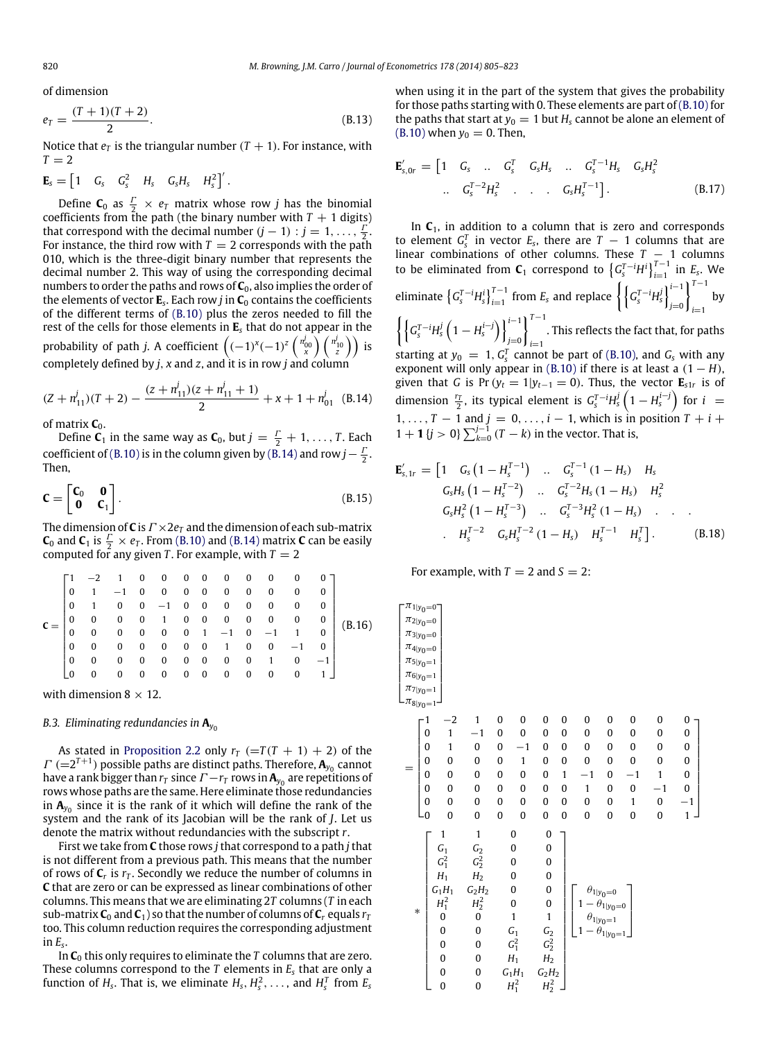of dimension

$$
e_T = \frac{(T+1)(T+2)}{2}.
$$
 (B.13)

Notice that  $e_T$  is the triangular number  $(T + 1)$ . For instance, with  $T = 2$ 

$$
\boldsymbol{E}_s = \begin{bmatrix} 1 & G_s & G_s^2 & H_s & G_s H_s & H_s^2 \end{bmatrix}'.
$$

Define  $C_0$  as  $\frac{T}{2} \times e_T$  matrix whose row *j* has the binomial coefficients from the path (the binary number with  $T + 1$  digits) that correspond with the decimal number  $(j-1)$  :  $j = 1, \ldots, \frac{\Gamma}{2}$ . For instance, the third row with  $T = 2$  corresponds with the path 010, which is the three-digit binary number that represents the decimal number 2. This way of using the corresponding decimal numbers to order the paths and rows of **C**0, also implies the order of the elements of vector **E***<sup>s</sup>* . Each row *j* in **C**<sup>0</sup> contains the coefficients of the different terms of [\(B.10\)](#page-14-9) plus the zeros needed to fill the rest of the cells for those elements in **E***<sup>s</sup>* that do not appear in the probability of path *j*. A coefficient  $\left((-1)^{x}(-1)^{z}\left(\frac{n_{00}^{j}}{x}\right)\left(\frac{n_{10}^{j}}{z}\right)\right)$  is completely defined by *j*, *x* and *z*, and it is in row *j* and column

$$
(Z + n_{11}^j)(T + 2) - \frac{(z + n_{11}^j)(z + n_{11}^j + 1)}{2} + x + 1 + n_{01}^j
$$
 (B.14)

of matrix  $C_0$ .

Define  $C_1$  in the same way as  $C_0$ , but  $j = \frac{\Gamma}{2} + 1, \ldots, T$ . Each coefficient of [\(B.10\)](#page-14-9) is in the column given by [\(B.14\)](#page-15-0) and row  $j - \frac{\Gamma}{2}$ . Then,

$$
\mathbf{C} = \begin{bmatrix} \mathbf{C}_0 & \mathbf{0} \\ \mathbf{0} & \mathbf{C}_1 \end{bmatrix} . \tag{B.15}
$$

The dimension of **C** is  $\Gamma \times 2e_T$  and the dimension of each sub-matrix **C**<sub>0</sub> and **C**<sub>1</sub> is  $\frac{\Gamma}{2} \times e_T$ . From [\(B.10\)](#page-14-9) and [\(B.14\)](#page-15-0) matrix **C** can be easily computed for any given *T*. For example, with  $T = 2$ 

|          |                |                                                      |  |  |                               |              |                   | $-2$ 1 0 0 0 0 0 0 0 0 0 1                 |          |        |
|----------|----------------|------------------------------------------------------|--|--|-------------------------------|--------------|-------------------|--------------------------------------------|----------|--------|
| $\Omega$ |                | $1 \quad -1 \quad 0 \quad 0 \quad 0 \quad 0 \quad 0$ |  |  |                               |              | $0\quad 0$        | $\mathbf{0}$                               | $\bf{0}$ | (B.16) |
| $\Omega$ | $\sim$ 1       |                                                      |  |  | $0 \t 0 \t -1 \t 0 \t 0 \t 0$ | $\mathbf{0}$ | $\bf{0}$          | $\mathbf{0}$                               | - 0      |        |
| $\Omega$ | $\overline{0}$ |                                                      |  |  |                               |              |                   | $0$ 0 1 0 0 0 0 0 0<br>0 0 0 0 1 -1 0 -1 1 | 0        |        |
| 0        | $\mathbf{0}$   |                                                      |  |  |                               |              |                   |                                            | $\Omega$ |        |
| $\Omega$ | $\mathbf{0}$   |                                                      |  |  |                               |              | 0 0 0 0 0 1 0 0   |                                            | $-1$ 0 1 |        |
| $\Omega$ | $\mathbf{0}$   |                                                      |  |  |                               |              | 0 0 0 0 0 0 0 1 0 |                                            | $-1$     |        |
|          | $\bf{0}$       |                                                      |  |  | 0 0 0 0 0 0 0                 |              | $\mathbf{0}$      | $\Omega$                                   |          |        |
|          |                |                                                      |  |  |                               |              |                   |                                            |          |        |

with dimension  $8 \times 12$ .

<span id="page-15-1"></span>*B.3. Eliminating redundancies in*  $A_{y_0}$ 

As stated in [Proposition 2.2](#page-3-8) only  $r_T$  (= $T(T + 1) + 2$ ) of the  $\Gamma$  (=2<sup>T+1</sup>) possible paths are distinct paths. Therefore,  $\mathbf{A}_{y_0}$  cannot have a rank bigger than  $r_{T}$  since  $\mathit{\Gamma}-r_{T}$  rows in  $\textbf{A}_{y_{0}}$  are repetitions of rows whose paths are the same. Here eliminate those redundancies in  ${\boldsymbol A}_{{\mathsf y}_0}$  since it is the rank of it which will define the rank of the system and the rank of its Jacobian will be the rank of *J*. Let us denote the matrix without redundancies with the subscript *r*.

First we take from **C** those rows *j* that correspond to a path *j* that is not different from a previous path. This means that the number of rows of **C***<sup>r</sup>* is *r<sup>T</sup>* . Secondly we reduce the number of columns in **C** that are zero or can be expressed as linear combinations of other columns. This means that we are eliminating 2*T* columns (*T* in each sub-matrix  $C_0$  and  $C_1$ ) so that the number of columns of  $C_r$  equals  $r_T$ too. This column reduction requires the corresponding adjustment in *E<sup>s</sup>* .

In **C**<sup>0</sup> this only requires to eliminate the *T* columns that are zero. These columns correspond to the *T* elements in *E<sup>s</sup>* that are only a function of  $H_s$ . That is, we eliminate  $H_s$ ,  $H_s^2$ , ..., and  $H_s^T$  from  $E_s$ 

when using it in the part of the system that gives the probability for those paths starting with 0. These elements are part of  $(B.10)$  for the paths that start at  $y_0 = 1$  but  $H_s$  cannot be alone an element of [\(B.10\)](#page-14-9) when  $y_0 = 0$ . Then,

$$
\mathbf{E}'_{s,0r} = \begin{bmatrix} 1 & G_s & \dots & G_s^T & G_s H_s & \dots & G_s^{T-1} H_s & G_s H_s^2 \\ \dots & G_s^{T-2} H_s^2 & \dots & \dots & G_s H_s^{T-1} \end{bmatrix} . \tag{B.17}
$$

In **C**1, in addition to a column that is zero and corresponds to element  $G_s^T$  in vector  $E_s$ , there are  $T-1$  columns that are linear combinations of other columns. These *T* − 1 columns to be eliminated from  $C_1$  correspond to  $\left\{G_s^{T-i}H^i\right\}_{i=1}^{T-1}$  in  $E_s$ . We eliminate  $\left\{G_s^{T-i}H_s^i\right\}_{i=1}^{T-1}$  from  $E_s$  and replace  $\left\{\left\{G_s^{T-i}H_s^j\right\}_{i=0}^{i-1}\right\}_{i=0}^{T-1}$ *j*=0 *<sup>T</sup>*−<sup>1</sup> *i*=1 by  $\left\{ \left\{ G_s^T \right\}^{-i} H_s^j \left( 1 - H_s^{i-j} \right) \right\}_{i=0}^{i-1}$ *j*=0 *<sup>T</sup>*−<sup>1</sup> *i*=1 . This reflects the fact that, for paths starting at  $y_0 = 1$ ,  $G_s^T$  cannot be part of [\(B.10\),](#page-14-9) and  $G_s$  with any exponent will only appear in [\(B.10\)](#page-14-9) if there is at least a  $(1 - H)$ , given that *G* is Pr ( $y_t = 1|y_{t-1} = 0$ ). Thus, the vector  $\mathbf{E}_{s1r}$  is of dimension  $\frac{r_T}{2}$ , its typical element is  $G_s^{T-i}H_s^j\left(1-H_s^{i-j}\right)$  for  $i=$ 1, ...,  $T-1$  and  $j = 0, \ldots, i-1$ , which is in position  $T+i+1$  $1 + 1$  {*j* > 0}  $\sum_{k=0}^{j-1} (T - k)$  in the vector. That is,

<span id="page-15-0"></span>
$$
\mathbf{E}'_{s,1r} = \begin{bmatrix} 1 & G_s \left( 1 - H_s^{T-1} \right) & \dots & G_s^{T-1} \left( 1 - H_s \right) & H_s \end{bmatrix}
$$
\n
$$
G_s H_s \left( 1 - H_s^{T-2} \right) & \dots & G_s^{T-2} H_s \left( 1 - H_s \right) & H_s^2
$$
\n
$$
G_s H_s^2 \left( 1 - H_s^{T-3} \right) & \dots & G_s^{T-3} H_s^2 \left( 1 - H_s \right) & \dots & \dots
$$
\n
$$
H_s^{T-2} \left( G_s H_s^{T-2} \left( 1 - H_s \right) & H_s^{T-1} \left( H_s^T \right) \right). \tag{B.18}
$$

For example, with  $T = 2$  and  $S = 2$ :

|     | $-\pi_1 y_0=0$   |                                                                                                                   |                                                     |                                             |                  |                                              |                  |              |                                                                                                                  |          |              |              |              |
|-----|------------------|-------------------------------------------------------------------------------------------------------------------|-----------------------------------------------------|---------------------------------------------|------------------|----------------------------------------------|------------------|--------------|------------------------------------------------------------------------------------------------------------------|----------|--------------|--------------|--------------|
|     | $\pi_{2 y_0=0}$  |                                                                                                                   |                                                     |                                             |                  |                                              |                  |              |                                                                                                                  |          |              |              |              |
|     | $\pi_{3 y_0=0}$  |                                                                                                                   |                                                     |                                             |                  |                                              |                  |              |                                                                                                                  |          |              |              |              |
|     |                  | $\pi_{4 y_0=0}$<br>$\begin{cases}\n\pi_{4 y_0=0} \\ \pi_{5 y_0=1} \\ \pi_{6 y_0=1} \\ \pi_{7 y_0=1}\n\end{cases}$ |                                                     |                                             |                  |                                              |                  |              |                                                                                                                  |          |              |              |              |
|     |                  |                                                                                                                   |                                                     |                                             |                  |                                              |                  |              |                                                                                                                  |          |              |              |              |
|     |                  |                                                                                                                   |                                                     |                                             |                  |                                              |                  |              |                                                                                                                  |          |              |              |              |
|     | $\pi_{7 y_0=1}$  |                                                                                                                   |                                                     |                                             |                  |                                              |                  |              |                                                                                                                  |          |              |              |              |
|     | $-\pi_{8 y_0=1}$ |                                                                                                                   |                                                     |                                             |                  |                                              |                  |              |                                                                                                                  |          |              |              |              |
|     |                  |                                                                                                                   | $^{-2}$                                             | $\mathbf{1}$                                | $\mathbf 0$      | $\bf{0}$                                     | 0                | $\bf{0}$     | 0                                                                                                                | 0        | 0            | 0            | 0            |
|     |                  |                                                                                                                   |                                                     | $-1$                                        | $\bf{0}$         | $\bf{0}$                                     | 0                | $\bf{0}$     | 0                                                                                                                | 0        | 0            | 0            | $\pmb{0}$    |
|     |                  |                                                                                                                   |                                                     | $\bf{0}$                                    | 0                | $-1$                                         | 0                | $\bf{0}$     | 0                                                                                                                | 0        | 0            | 0            | 0            |
|     |                  | $\begin{bmatrix} 0 \\ 0 \\ 0 \\ 0 \\ 0 \\ 0 \end{bmatrix}$                                                        | $\begin{array}{c} 1 \\ 1 \\ 0 \end{array}$          | $\pmb{0}$                                   | $\bf{0}$         | $\mathbf{1}$                                 | 0                | $\bf{0}$     | $\bf{0}$                                                                                                         | 0        | 0            | 0            | $\bf{0}$     |
|     |                  |                                                                                                                   | $\boldsymbol{0}$                                    | $\pmb{0}$                                   | $\boldsymbol{0}$ | 0                                            | 0                | $\mathbf{1}$ | $-1$                                                                                                             | 0        | $-1$         | $\mathbf{1}$ | 0            |
|     |                  |                                                                                                                   | $\bf{0}$                                            | $\bf{0}$                                    | $\boldsymbol{0}$ | 0                                            | 0                | $\bf{0}$     | $\mathbf{1}$                                                                                                     | 0        | $\pmb{0}$    | $-1$         | 0            |
|     |                  | $\bf{0}$                                                                                                          | $\pmb{0}$                                           | $\bf{0}$                                    | $\bf{0}$         | 0                                            | $\bf{0}$         | $\bf{0}$     | 0                                                                                                                | $\bf{0}$ | $\mathbf{1}$ | 0            | $-1$         |
|     |                  | L <sub>0</sub>                                                                                                    | $\mathbf{0}$                                        | $\bf{0}$                                    | $\bf{0}$         | $\bf{0}$                                     | $\bf{0}$         | $\mathbf{0}$ | 0                                                                                                                | 0        | 0            | $\bf{0}$     | $\mathbf{1}$ |
|     |                  |                                                                                                                   | $\mathbf{1}$                                        | $\mathbf{1}$                                |                  | 0                                            | $\pmb{0}$        |              |                                                                                                                  |          |              |              |              |
|     |                  |                                                                                                                   |                                                     |                                             |                  | 0                                            | $\pmb{0}$        |              |                                                                                                                  |          |              |              |              |
|     |                  |                                                                                                                   | $\begin{array}{c} G_2 \\ G_2^2 \\ H_2 \end{array}$  |                                             | 0                |                                              | $\bf{0}$         |              |                                                                                                                  |          |              |              |              |
|     |                  |                                                                                                                   | $G_1$<br>$G_1^2$<br>$H_1$<br>$H_1^2$<br>0<br>0<br>0 |                                             | 0                |                                              | $\bf{0}$         |              |                                                                                                                  |          |              |              |              |
|     |                  |                                                                                                                   |                                                     |                                             |                  | 0                                            | $\pmb{0}$        |              | $\begin{bmatrix} \theta_{1 y_0=0} \\ 1-\theta_{1 y_0=0} \\ \theta_{1 y_0=1} \\ 1-\theta_{1 y_0=1} \end{bmatrix}$ |          |              |              |              |
| $*$ |                  |                                                                                                                   |                                                     | $\begin{array}{c}G_2H_2\\ H_2^2\end{array}$ |                  | 0                                            | $\pmb{0}$        |              |                                                                                                                  |          |              |              |              |
|     |                  |                                                                                                                   |                                                     | $\pmb{0}$                                   | $\mathbf{1}$     |                                              | $\mathbf{1}$     |              |                                                                                                                  |          |              |              |              |
|     |                  |                                                                                                                   |                                                     | $\bf{0}$                                    |                  |                                              | $G_2$<br>$G_2^2$ |              |                                                                                                                  |          |              |              |              |
|     |                  |                                                                                                                   | $\bf{0}$                                            | $\bf{0}$                                    |                  | $\begin{array}{cc} G_1 \\ G_1^2 \end{array}$ |                  |              |                                                                                                                  |          |              |              |              |
|     |                  |                                                                                                                   | $\pmb{0}$                                           | $\pmb{0}$                                   |                  | ${\cal H}_1$                                 | H <sub>2</sub>   |              |                                                                                                                  |          |              |              |              |
|     |                  |                                                                                                                   | 0                                                   | 0                                           |                  | $G_1H_1$                                     | $G_2H_2$         |              |                                                                                                                  |          |              |              |              |
|     |                  |                                                                                                                   | $\overline{0}$                                      | $\pmb{0}$                                   |                  | $H_1^2$                                      | $H_2^2$          |              |                                                                                                                  |          |              |              |              |
|     |                  |                                                                                                                   |                                                     |                                             |                  |                                              |                  |              |                                                                                                                  |          |              |              |              |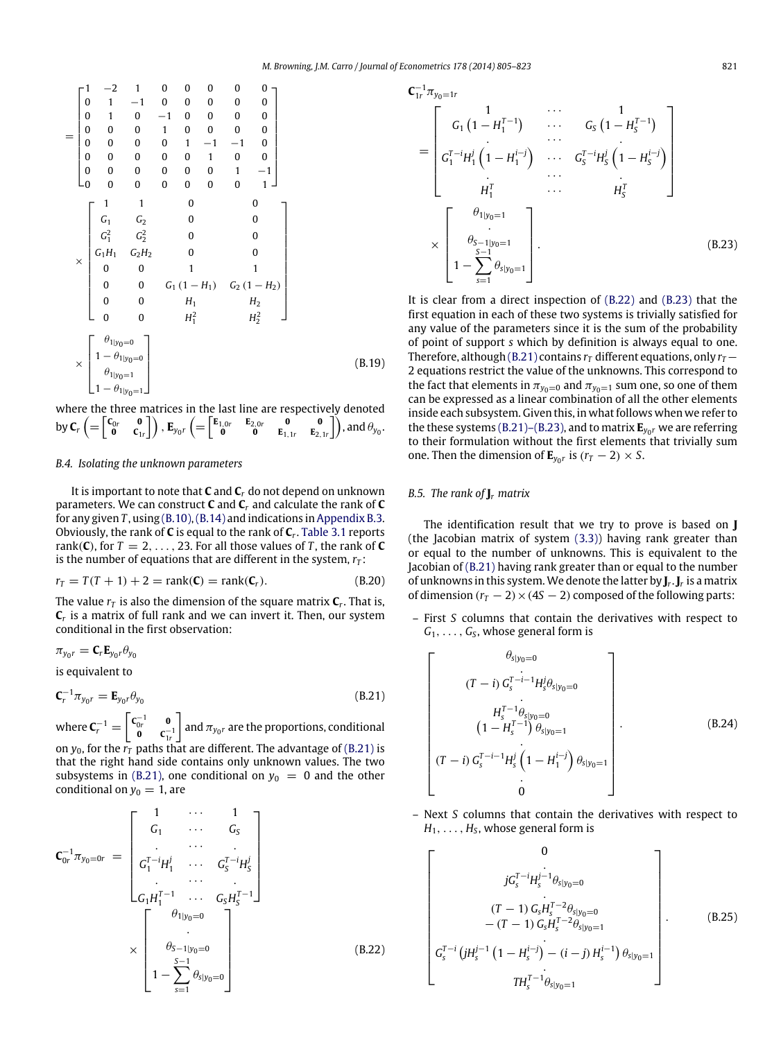$$
\begin{bmatrix}\n1 & -2 & 1 & 0 & 0 & 0 & 0 & 0 \\
0 & 1 & -1 & 0 & 0 & 0 & 0 & 0 \\
0 & 1 & 0 & -1 & 0 & 0 & 0 & 0 \\
0 & 0 & 0 & 1 & 0 & 0 & 0 & 0 \\
0 & 0 & 0 & 0 & 1 & -1 & -1 & 0 \\
0 & 0 & 0 & 0 & 0 & 1 & 0 & 0 \\
0 & 0 & 0 & 0 & 0 & 0 & 1 & -1\n\end{bmatrix}
$$
\n
$$
\times \begin{bmatrix}\n1 & 1 & 0 & 0 & 0 \\
G_1 & G_2 & 0 & 0 & 0 \\
G_1^2 & G_2^2 & 0 & 0 & 0 \\
G_1^2 & G_2^2 & 0 & 0 & 0 \\
0 & 0 & 1 & 1 & 0 \\
0 & 0 & 0 & H_1 & H_2 \\
0 & 0 & H_1^2 & H_2^2\n\end{bmatrix}
$$
\n
$$
\times \begin{bmatrix}\n\theta_{1|y_0=0} \\
1-\theta_{1|y_0=1} \\
\theta_{1|y_0=1} \\
1-\theta_{1|y_0=1}\n\end{bmatrix}
$$
\n(B.19)

where the three matrices in the last line are respectively denoted  $\textbf{b} \textbf{y} \textbf{C}_r \left( = \begin{bmatrix} \textbf{c}_{0r} & \textbf{0} \ \textbf{0} & \textbf{c}_{1r} \end{bmatrix} \right), \textbf{E}_{y_0r} \left( = \begin{bmatrix} \textbf{E}_{1,0r} & \textbf{E}_{2,0r} & \textbf{0} \ \textbf{0} & \textbf{0} & \textbf{E}_{1,1r} & \textbf{E}_{2,1r} \end{bmatrix} \right), \text{and } \theta_{y_0}.$ 

## *B.4. Isolating the unknown parameters*

It is important to note that **C** and **C***<sup>r</sup>* do not depend on unknown parameters. We can construct **C** and **C***<sup>r</sup>* and calculate the rank of **C** for any given *T* , using [\(B.10\),](#page-14-9)[\(B.14\)](#page-15-0) and indications in [Appendix B.3.](#page-15-1) Obviously, the rank of **C** is equal to the rank of **C***<sup>r</sup>* . [Table 3.1](#page-4-4) reports rank( $C$ ), for  $T = 2, \ldots, 23$ . For all those values of  $T$ , the rank of  $C$ is the number of equations that are different in the system,  $r<sub>T</sub>$ :

$$
r_T = T(T + 1) + 2 = \text{rank}(\mathbf{C}) = \text{rank}(\mathbf{C}_r). \tag{B.20}
$$

The value *r<sup>T</sup>* is also the dimension of the square matrix **C***<sup>r</sup>* . That is, **C***r* is a matrix of full rank and we can invert it. Then, our system conditional in the first observation:

$$
\pi_{y_0r} = \mathbf{C}_r \mathbf{E}_{y_0r} \theta_{y_0}
$$
  
is equivalent to

$$
\mathbf{C}_r^{-1} \pi_{y_0 r} = \mathbf{E}_{y_0 r} \theta_{y_0}
$$
\n(B.21)

where  $\mathbf{C}_r^{-1} = \begin{bmatrix} \mathbf{c}_{0r}^{-1} & \mathbf{0} \\ \mathbf{0} & \mathbf{c}_{1r}^{-1} \end{bmatrix}$  $\big]$  and  $\pi_{y_0 r}$  are the proportions, conditional on  $y_0$ , for the  $r<sub>T</sub>$  paths that are different. The advantage of [\(B.21\)](#page-16-1) is that the right hand side contains only unknown values. The two subsystems in [\(B.21\),](#page-16-1) one conditional on  $y_0 = 0$  and the other conditional on  $y_0 = 1$ , are

$$
\mathbf{C}_{0r}^{-1}\pi_{y_0=0r} = \begin{bmatrix} 1 & \cdots & 1 \\ G_1 & \cdots & G_S \\ \vdots & \ddots & \vdots \\ G_1^{-1}H_1^{j} & \cdots & G_S^{-1}H_S^{j} \\ \vdots & \ddots & \vdots \\ G_1H_1^{-1} & \cdots & G_SH_S^{-1} \end{bmatrix}
$$

$$
\times \begin{bmatrix} \theta_{1|y_0=0} \\ \theta_{S-1|y_0=0} \\ \vdots \\ \theta_{S-1|y_0=0} \\ 1 - \sum_{s=1}^{S-1} \theta_{s|y_0=0} \end{bmatrix}
$$
(B.22)

$$
\mathbf{C}_{1r}^{-1}\pi_{y_0=1r}
$$
\n
$$
= \begin{bmatrix}\nG_1 (1 - H_1^{T-1}) & \cdots & G_S (1 - H_S^{T-1}) \\
G_1^{T-i}H_1^j (1 - H_1^{i-j}) & \cdots & G_S^{T-i}H_S^j (1 - H_S^{i-j}) \\
\vdots & \vdots & \ddots & \vdots \\
H_1^T & \cdots & H_S^T\n\end{bmatrix}
$$
\n
$$
\times \begin{bmatrix}\n\theta_{1|y_0=1} \\
\theta_{S-1|y_0=1} \\
1 - \sum_{s=1}^{S-1}\theta_{s|y_0=1}\n\end{bmatrix}.
$$
\n(B.23)

<span id="page-16-3"></span>It is clear from a direct inspection of [\(B.22\)](#page-16-2) and [\(B.23\)](#page-16-3) that the first equation in each of these two systems is trivially satisfied for any value of the parameters since it is the sum of the probability of point of support *s* which by definition is always equal to one. Therefore, although [\(B.21\)](#page-16-1) contains  $r<sub>T</sub>$  different equations, only  $r<sub>T</sub>$  − 2 equations restrict the value of the unknowns. This correspond to the fact that elements in  $\pi_{\nu_0=0}$  and  $\pi_{\nu_0=1}$  sum one, so one of them can be expressed as a linear combination of all the other elements inside each subsystem. Given this, in what follows when we refer to the these systems [\(B.21\)–\(B.23\),](#page-16-1) and to matrix  $\mathbf{E}_{y_0r}$  we are referring to their formulation without the first elements that trivially sum one. Then the dimension of  $\mathbf{E}_{y_0r}$  is  $(r_T - 2) \times S$ .

## <span id="page-16-0"></span>*B.5. The rank of* **J***<sup>r</sup> matrix*

The identification result that we try to prove is based on **J** (the Jacobian matrix of system [\(3.3\)\)](#page-4-2) having rank greater than or equal to the number of unknowns. This is equivalent to the Jacobian of [\(B.21\)](#page-16-1) having rank greater than or equal to the number of unknowns in this system. We denote the latter by **J***<sup>r</sup>* . **J***r* is a matrix of dimension  $(r_T - 2) \times (4S - 2)$  composed of the following parts:

– First *S* columns that contain the derivatives with respect to  $G_1, \ldots, G_S$ , whose general form is

<span id="page-16-1"></span>
$$
\begin{bmatrix}\n\theta_{\text{s}|y_0=0} \\
(T-i) G_s^{T-i-1} H_s^j \theta_{\text{s}|y_0=0} \\
\vdots \\
H_s^{T-1} \theta_{\text{s}|y_0=0} \\
(1 - H_s^{T-1}) \theta_{\text{s}|y_0=1} \\
(T-i) G_s^{T-i-1} H_s^j \left(1 - H_1^{i-j}\right) \theta_{\text{s}|y_0=1} \\
\vdots \\
0\n\end{bmatrix}.
$$
\n(B.24)

<span id="page-16-2"></span>– Next *S* columns that contain the derivatives with respect to  $H_1, \ldots, H_S$ , whose general form is

$$
\begin{bmatrix}\n0 \\
jG_{s}^{T-i}H_{s}^{j-1}\theta_{s|y_{0}=0} \\
(T-1) G_{s}H_{s}^{T-2}\theta_{s|y_{0}=0} \\
-(T-1) G_{s}H_{s}^{T-2}\theta_{s|y_{0}=1} \\
G_{s}^{T-i} (jH_{s}^{j-1} (1 - H_{s}^{i-j}) - (i-j) H_{s}^{i-1}) \theta_{s|y_{0}=1} \\
TH_{s}^{T-1}\theta_{s|y_{0}=1}\n\end{bmatrix}.
$$
\n(B.25)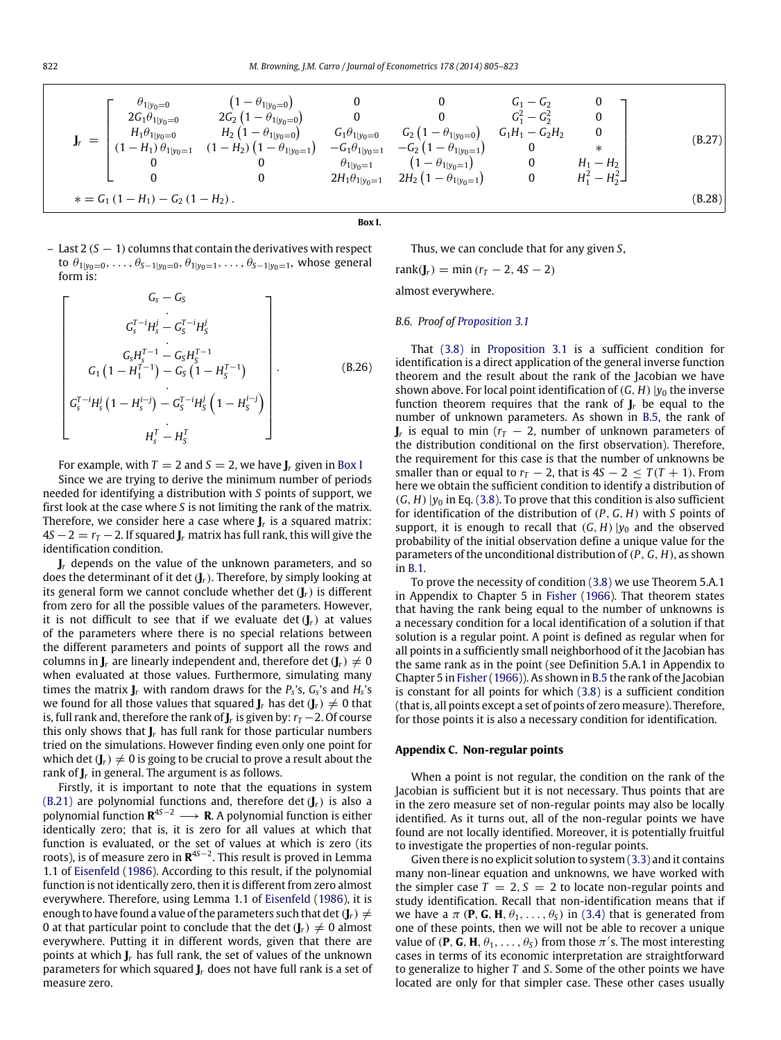<span id="page-17-1"></span>
$$
\mathbf{J}_{r} = \begin{bmatrix} \theta_{1|y_{0}=0} & (1 - \theta_{1|y_{0}=0}) & 0 & 0 & G_{1} - G_{2} & 0 \\ 2G_{1}\theta_{1|y_{0}=0} & 2G_{2} (1 - \theta_{1|y_{0}=0}) & 0 & 0 & G_{1}^{2} - G_{2}^{2} & 0 \\ H_{1}\theta_{1|y_{0}=0} & H_{2} (1 - \theta_{1|y_{0}=0}) & G_{1}\theta_{1|y_{0}=0} & G_{2} (1 - \theta_{1|y_{0}=0}) & G_{1}H_{1} - G_{2}H_{2} & 0 \\ (1 - H_{1}) \theta_{1|y_{0}=1} & (1 - H_{2}) (1 - \theta_{1|y_{0}=1}) & -G_{1}\theta_{1|y_{0}=1} & -G_{2} (1 - \theta_{1|y_{0}=1}) & 0 & * \\ 0 & 0 & \theta_{1|y_{0}=1} & (1 - \theta_{1|y_{0}=1}) & 0 & H_{1} - H_{2} \\ 0 & 0 & 2H_{1}\theta_{1|y_{0}=1} & 2H_{2} (1 - \theta_{1|y_{0}=1}) & 0 & H_{1}^{2} - H_{2}^{2} \end{bmatrix}
$$
(B.27)  
\n
$$
* = G_{1} (1 - H_{1}) - G_{2} (1 - H_{2}).
$$

**Box I.**

– Last 2 (*S* − 1) columns that contain the derivatives with respect to  $\theta_{1|y_0=0}, \ldots, \theta_{S-1|y_0=0}, \theta_{1|y_0=1}, \ldots, \theta_{S-1|y_0=1}$ , whose general form is:

$$
\begin{bmatrix}\nG_{s} - G_{S} \\
G_{s}^{T-i}H_{s}^{j} - G_{s}^{T-i}H_{S}^{j} \\
G_{s}H_{s}^{T-1} - G_{s}H_{S}^{T-1} \\
G_{1} (1 - H_{1}^{T-1}) - G_{S} (1 - H_{S}^{T-1}) \\
\vdots \\
G_{s}^{T-i}H_{s}^{j} (1 - H_{s}^{i-j}) - G_{s}^{T-i}H_{S}^{j} (1 - H_{S}^{i-j}) \\
H_{s}^{T} - H_{S}^{T}\n\end{bmatrix}.
$$
\n(B.26)

For example, with  $T = 2$  and  $S = 2$ , we have  $J_r$  given in [Box I](#page-17-1)

Since we are trying to derive the minimum number of periods needed for identifying a distribution with *S* points of support, we first look at the case where *S* is not limiting the rank of the matrix. Therefore, we consider here a case where **J***<sup>r</sup>* is a squared matrix:  $4S - 2 = r<sub>T</sub> - 2$ . If squared **J**<sub>*r*</sub> matrix has full rank, this will give the identification condition.

**J***<sup>r</sup>* depends on the value of the unknown parameters, and so does the determinant of it det (**J***r*). Therefore, by simply looking at its general form we cannot conclude whether det (**J***r*) is different from zero for all the possible values of the parameters. However, it is not difficult to see that if we evaluate det  $(J_r)$  at values of the parameters where there is no special relations between the different parameters and points of support all the rows and columns in **J**<sub>*r*</sub> are linearly independent and, therefore det  $(I_r) \neq 0$ when evaluated at those values. Furthermore, simulating many times the matrix **J***<sup>r</sup>* with random draws for the *P<sup>s</sup>* 's, *G<sup>s</sup>* 's and *H<sup>s</sup>* 's we found for all those values that squared **I**<sub>*r*</sub> has det (**I**<sub>*r*</sub>)  $\neq$  0 that is, full rank and, therefore the rank of  $J_r$  is given by:  $r_T$   $-$  2. Of course this only shows that  $J_r$  has full rank for those particular numbers tried on the simulations. However finding even only one point for which det  $(\mathbf{J}_r) \neq 0$  is going to be crucial to prove a result about the rank of **J***<sup>r</sup>* in general. The argument is as follows.

Firstly, it is important to note that the equations in system [\(B.21\)](#page-16-1) are polynomial functions and, therefore det (**J***r*) is also a polynomial function  $\mathbb{R}^{4S-2} \longrightarrow \mathbb{R}$ . A polynomial function is either identically zero; that is, it is zero for all values at which that function is evaluated, or the set of values at which is zero (its roots), is of measure zero in **R** 4*S*−2 . This result is proved in Lemma 1.1 of [Eisenfeld](#page-18-27) [\(1986\)](#page-18-27). According to this result, if the polynomial function is not identically zero, then it is different from zero almost everywhere. Therefore, using Lemma 1.1 of [Eisenfeld](#page-18-27) [\(1986\)](#page-18-27), it is enough to have found a value of the parameters such that det  $(\mathbf{J}_r) \neq$ 0 at that particular point to conclude that the det  $(J_r) \neq 0$  almost everywhere. Putting it in different words, given that there are points at which **J***<sup>r</sup>* has full rank, the set of values of the unknown parameters for which squared **J***<sup>r</sup>* does not have full rank is a set of measure zero.

Thus, we can conclude that for any given *S*,

 $rank(I_r) = min (r_T - 2, 4S - 2)$ 

almost everywhere.

#### *B.6. Proof of [Proposition 3.1](#page-4-9)*

That [\(3.8\)](#page-4-8) in [Proposition 3.1](#page-4-9) is a sufficient condition for identification is a direct application of the general inverse function theorem and the result about the rank of the Jacobian we have shown above. For local point identification of  $(G, H)$  | $y_0$  the inverse function theorem requires that the rank of  $J_r$  be equal to the number of unknown parameters. As shown in [B.5,](#page-16-0) the rank of **J**<sub>*r*</sub> is equal to min ( $r_T - 2$ , number of unknown parameters of the distribution conditional on the first observation). Therefore, the requirement for this case is that the number of unknowns be smaller than or equal to  $r_T - 2$ , that is  $4S - 2 \leq T(T + 1)$ . From here we obtain the sufficient condition to identify a distribution of  $(G, H)$  | $v_0$  in Eq. [\(3.8\).](#page-4-8) To prove that this condition is also sufficient for identification of the distribution of (*P*, *G*, *H*) with *S* points of support, it is enough to recall that  $(G, H)$  | $y_0$  and the observed probability of the initial observation define a unique value for the parameters of the unconditional distribution of(*P*, *G*, *H*), as shown in [B.1.](#page-13-0)

To prove the necessity of condition [\(3.8\)](#page-4-8) we use Theorem 5.A.1 in Appendix to Chapter 5 in [Fisher](#page-18-19) [\(1966\)](#page-18-19). That theorem states that having the rank being equal to the number of unknowns is a necessary condition for a local identification of a solution if that solution is a regular point. A point is defined as regular when for all points in a sufficiently small neighborhood of it the Jacobian has the same rank as in the point (see Definition 5.A.1 in Appendix to Chapter 5 in [Fisher](#page-18-19) [\(1966\)](#page-18-19)). As shown in [B.5](#page-16-0) the rank of the Jacobian is constant for all points for which [\(3.8\)](#page-4-8) is a sufficient condition (that is, all points except a set of points of zero measure). Therefore, for those points it is also a necessary condition for identification.

## <span id="page-17-0"></span>**Appendix C. Non-regular points**

When a point is not regular, the condition on the rank of the Jacobian is sufficient but it is not necessary. Thus points that are in the zero measure set of non-regular points may also be locally identified. As it turns out, all of the non-regular points we have found are not locally identified. Moreover, it is potentially fruitful to investigate the properties of non-regular points.

Given there is no explicit solution to system [\(3.3\)](#page-4-2) and it contains many non-linear equation and unknowns, we have worked with the simpler case  $T = 2$ ,  $S = 2$  to locate non-regular points and study identification. Recall that non-identification means that if we have a  $\pi$  (P, G, H,  $\theta_1, \ldots, \theta_s$ ) in [\(3.4\)](#page-4-14) that is generated from one of these points, then we will not be able to recover a unique value of  $(\mathbf{P}, \mathbf{G}, \mathbf{H}, \theta_1, \dots, \theta_s)$  from those  $\pi$ 's. The most interesting cases in terms of its economic interpretation are straightforward to generalize to higher *T* and *S*. Some of the other points we have located are only for that simpler case. These other cases usually